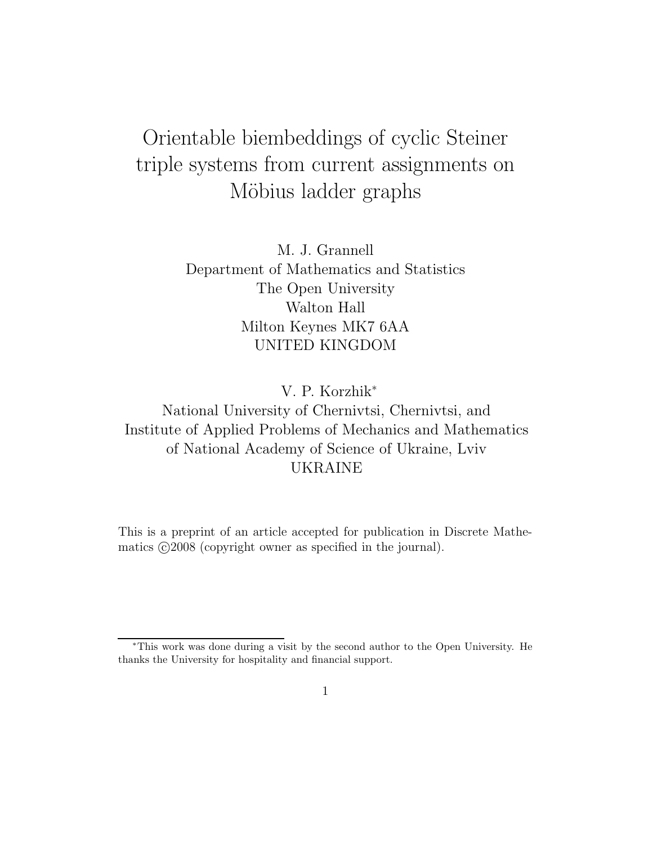# Orientable biembeddings of cyclic Steiner triple systems from current assignments on Möbius ladder graphs

M. J. Grannell Department of Mathematics and Statistics The Open University Walton Hall Milton Keynes MK7 6AA UNITED KINGDOM

V. P. Korzhik<sup>∗</sup>

National University of Chernivtsi, Chernivtsi, and Institute of Applied Problems of Mechanics and Mathematics of National Academy of Science of Ukraine, Lviv UKRAINE

This is a preprint of an article accepted for publication in Discrete Mathematics  $\odot$ 2008 (copyright owner as specified in the journal).

<sup>∗</sup>This work was done during a visit by the second author to the Open University. He thanks the University for hospitality and financial support.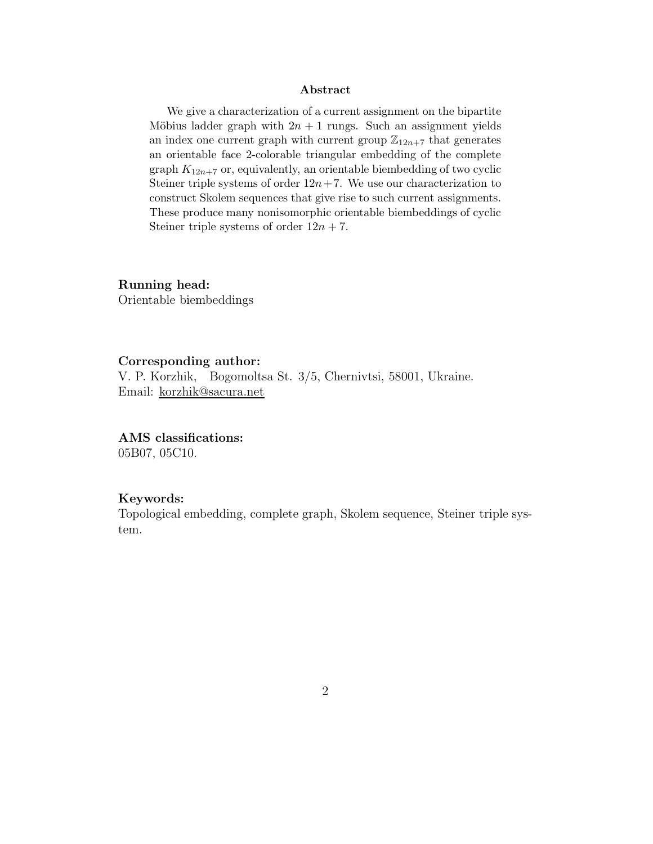#### Abstract

We give a characterization of a current assignment on the bipartite Möbius ladder graph with  $2n + 1$  rungs. Such an assignment yields an index one current graph with current group  $\mathbb{Z}_{12n+7}$  that generates an orientable face 2-colorable triangular embedding of the complete graph  $K_{12n+7}$  or, equivalently, an orientable biembedding of two cyclic Steiner triple systems of order  $12n + 7$ . We use our characterization to construct Skolem sequences that give rise to such current assignments. These produce many nonisomorphic orientable biembeddings of cyclic Steiner triple systems of order  $12n + 7$ .

Running head:

Orientable biembeddings

#### Corresponding author:

V. P. Korzhik, Bogomoltsa St. 3/5, Chernivtsi, 58001, Ukraine. Email: korzhik@sacura.net

AMS classifications:

05B07, 05C10.

#### Keywords:

Topological embedding, complete graph, Skolem sequence, Steiner triple system.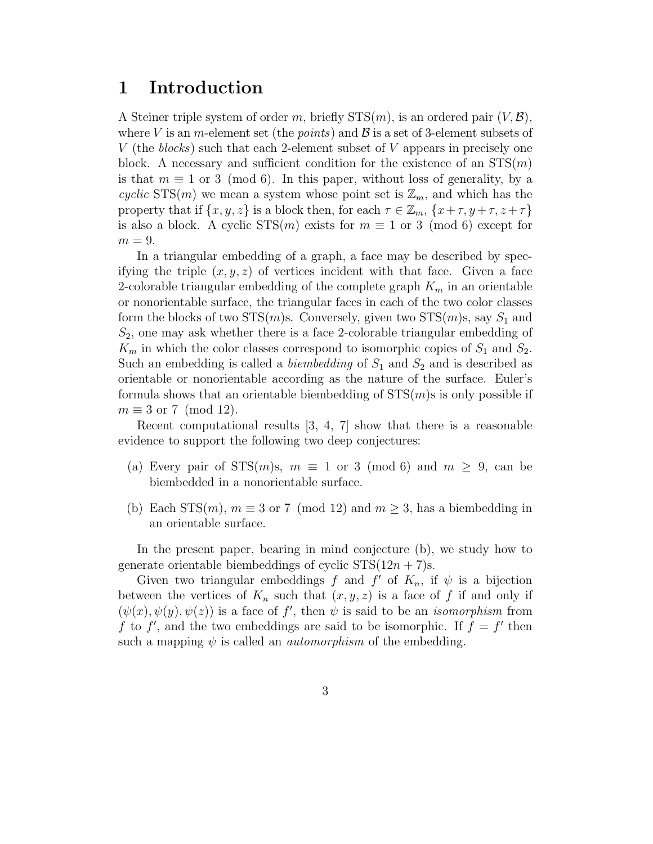### 1 Introduction

A Steiner triple system of order m, briefly  $STS(m)$ , is an ordered pair  $(V, \mathcal{B})$ , where V is an m-element set (the *points*) and  $\beta$  is a set of 3-element subsets of V (the blocks) such that each 2-element subset of V appears in precisely one block. A necessary and sufficient condition for the existence of an  $STS(m)$ is that  $m \equiv 1$  or 3 (mod 6). In this paper, without loss of generality, by a cyclic STS(m) we mean a system whose point set is  $\mathbb{Z}_m$ , and which has the property that if  $\{x, y, z\}$  is a block then, for each  $\tau \in \mathbb{Z}_m$ ,  $\{x + \tau, y + \tau, z + \tau\}$ is also a block. A cyclic  $STS(m)$  exists for  $m \equiv 1$  or 3 (mod 6) except for  $m = 9$ .

In a triangular embedding of a graph, a face may be described by specifying the triple  $(x, y, z)$  of vertices incident with that face. Given a face 2-colorable triangular embedding of the complete graph  $K_m$  in an orientable or nonorientable surface, the triangular faces in each of the two color classes form the blocks of two  $STS(m)s$ . Conversely, given two  $STS(m)s$ , say  $S_1$  and  $S_2$ , one may ask whether there is a face 2-colorable triangular embedding of  $K_m$  in which the color classes correspond to isomorphic copies of  $S_1$  and  $S_2$ . Such an embedding is called a *biembedding* of  $S_1$  and  $S_2$  and is described as orientable or nonorientable according as the nature of the surface. Euler's formula shows that an orientable biembedding of  $STS(m)$ s is only possible if  $m \equiv 3$  or 7 (mod 12).

Recent computational results [3, 4, 7] show that there is a reasonable evidence to support the following two deep conjectures:

- (a) Every pair of  $STS(m)s$ ,  $m \equiv 1$  or 3 (mod 6) and  $m \geq 9$ , can be biembedded in a nonorientable surface.
- (b) Each STS $(m)$ ,  $m \equiv 3$  or 7 (mod 12) and  $m \geq 3$ , has a biembedding in an orientable surface.

In the present paper, bearing in mind conjecture (b), we study how to generate orientable biembeddings of cyclic  $STS(12n + 7)s$ .

Given two triangular embeddings f and f' of  $K_n$ , if  $\psi$  is a bijection between the vertices of  $K_n$  such that  $(x, y, z)$  is a face of f if and only if  $(\psi(x), \psi(y), \psi(z))$  is a face of f', then  $\psi$  is said to be an *isomorphism* from f to f', and the two embeddings are said to be isomorphic. If  $f = f'$  then such a mapping  $\psi$  is called an *automorphism* of the embedding.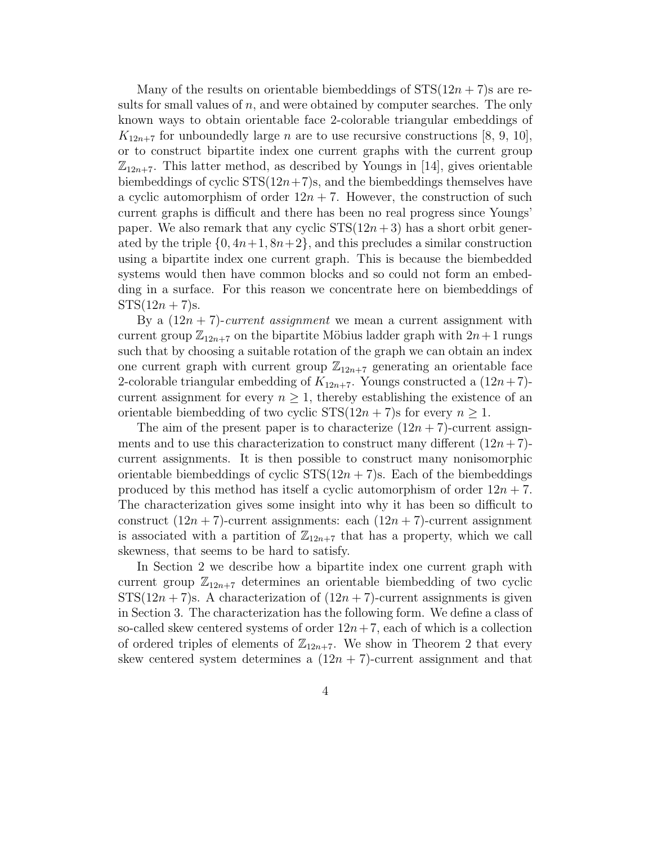Many of the results on orientable biembeddings of  $STS(12n + 7)$  are results for small values of  $n$ , and were obtained by computer searches. The only known ways to obtain orientable face 2-colorable triangular embeddings of  $K_{12n+7}$  for unboundedly large *n* are to use recursive constructions [8, 9, 10], or to construct bipartite index one current graphs with the current group  $\mathbb{Z}_{12n+7}$ . This latter method, as described by Youngs in [14], gives orientable biembeddings of cyclic  $STS(12n+7)s$ , and the biembeddings themselves have a cyclic automorphism of order  $12n + 7$ . However, the construction of such current graphs is difficult and there has been no real progress since Youngs' paper. We also remark that any cyclic  $STS(12n+3)$  has a short orbit generated by the triple  $\{0, 4n+1, 8n+2\}$ , and this precludes a similar construction using a bipartite index one current graph. This is because the biembedded systems would then have common blocks and so could not form an embedding in a surface. For this reason we concentrate here on biembeddings of  $STS(12n + 7)s$ .

By a  $(12n + 7)$ -current assignment we mean a current assignment with current group  $\mathbb{Z}_{12n+7}$  on the bipartite Möbius ladder graph with  $2n+1$  rungs such that by choosing a suitable rotation of the graph we can obtain an index one current graph with current group  $\mathbb{Z}_{12n+7}$  generating an orientable face 2-colorable triangular embedding of  $K_{12n+7}$ . Youngs constructed a  $(12n+7)$ current assignment for every  $n \geq 1$ , thereby establishing the existence of an orientable biembedding of two cyclic  $STS(12n + 7)$ s for every  $n \geq 1$ .

The aim of the present paper is to characterize  $(12n + 7)$ -current assignments and to use this characterization to construct many different  $(12n + 7)$ current assignments. It is then possible to construct many nonisomorphic orientable biembeddings of cyclic  $STS(12n + 7)$ s. Each of the biembeddings produced by this method has itself a cyclic automorphism of order  $12n + 7$ . The characterization gives some insight into why it has been so difficult to construct  $(12n + 7)$ -current assignments: each  $(12n + 7)$ -current assignment is associated with a partition of  $\mathbb{Z}_{12n+7}$  that has a property, which we call skewness, that seems to be hard to satisfy.

In Section 2 we describe how a bipartite index one current graph with current group  $\mathbb{Z}_{12n+7}$  determines an orientable biembedding of two cyclic  $STS(12n + 7)s$ . A characterization of  $(12n + 7)$ -current assignments is given in Section 3. The characterization has the following form. We define a class of so-called skew centered systems of order  $12n+7$ , each of which is a collection of ordered triples of elements of  $\mathbb{Z}_{12n+7}$ . We show in Theorem 2 that every skew centered system determines a  $(12n + 7)$ -current assignment and that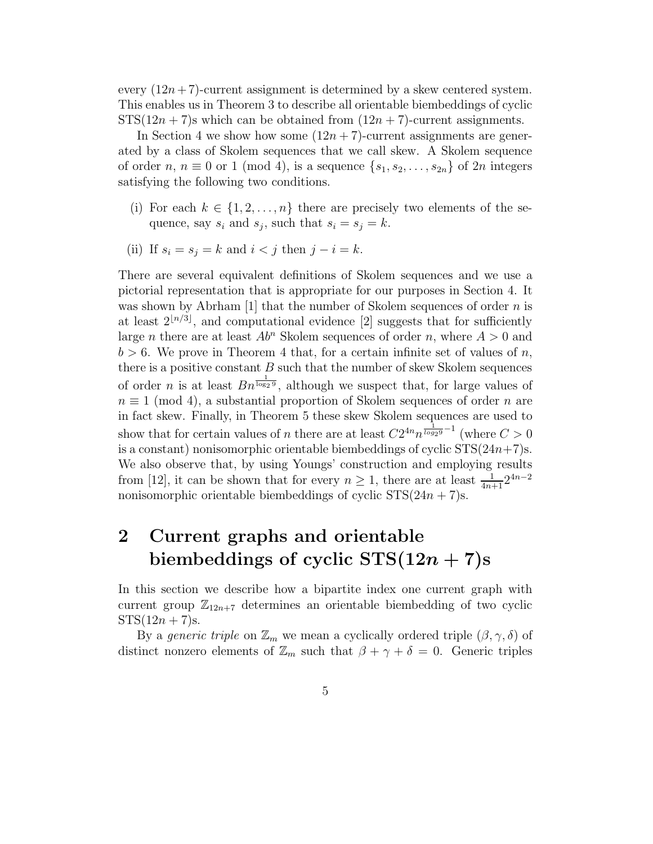every  $(12n + 7)$ -current assignment is determined by a skew centered system. This enables us in Theorem 3 to describe all orientable biembeddings of cyclic  $STS(12n + 7)$ s which can be obtained from  $(12n + 7)$ -current assignments.

In Section 4 we show how some  $(12n + 7)$ -current assignments are generated by a class of Skolem sequences that we call skew. A Skolem sequence of order n,  $n \equiv 0$  or 1 (mod 4), is a sequence  $\{s_1, s_2, \ldots, s_{2n}\}\$  of  $2n$  integers satisfying the following two conditions.

- (i) For each  $k \in \{1, 2, ..., n\}$  there are precisely two elements of the sequence, say  $s_i$  and  $s_j$ , such that  $s_i = s_j = k$ .
- (ii) If  $s_i = s_j = k$  and  $i < j$  then  $j i = k$ .

There are several equivalent definitions of Skolem sequences and we use a pictorial representation that is appropriate for our purposes in Section 4. It was shown by Abrham [1] that the number of Skolem sequences of order  $n$  is at least  $2^{n/3}$ , and computational evidence [2] suggests that for sufficiently large *n* there are at least  $Ab<sup>n</sup>$  Skolem sequences of order *n*, where  $A > 0$  and  $b > 6$ . We prove in Theorem 4 that, for a certain infinite set of values of n, there is a positive constant  $B$  such that the number of skew Skolem sequences of order *n* is at least  $Bn^{\frac{1}{\log_2 9}}$ , although we suspect that, for large values of  $n \equiv 1 \pmod{4}$ , a substantial proportion of Skolem sequences of order n are in fact skew. Finally, in Theorem 5 these skew Skolem sequences are used to show that for certain values of *n* there are at least  $C2^{4n}n^{\frac{1}{\log_2 9}-1}$  (where  $C>0$ is a constant) nonisomorphic orientable biembeddings of cyclic  $STS(24n+7)s$ . We also observe that, by using Youngs' construction and employing results from [12], it can be shown that for every  $n \geq 1$ , there are at least  $\frac{1}{4n+1}2^{4n-2}$ nonisomorphic orientable biembeddings of cyclic  $STS(24n + 7)s$ .

# 2 Current graphs and orientable biembeddings of cyclic  $STS(12n + 7)s$

In this section we describe how a bipartite index one current graph with current group  $\mathbb{Z}_{12n+7}$  determines an orientable biembedding of two cyclic  $STS(12n + 7)s$ .

By a generic triple on  $\mathbb{Z}_m$  we mean a cyclically ordered triple  $(\beta, \gamma, \delta)$  of distinct nonzero elements of  $\mathbb{Z}_m$  such that  $\beta + \gamma + \delta = 0$ . Generic triples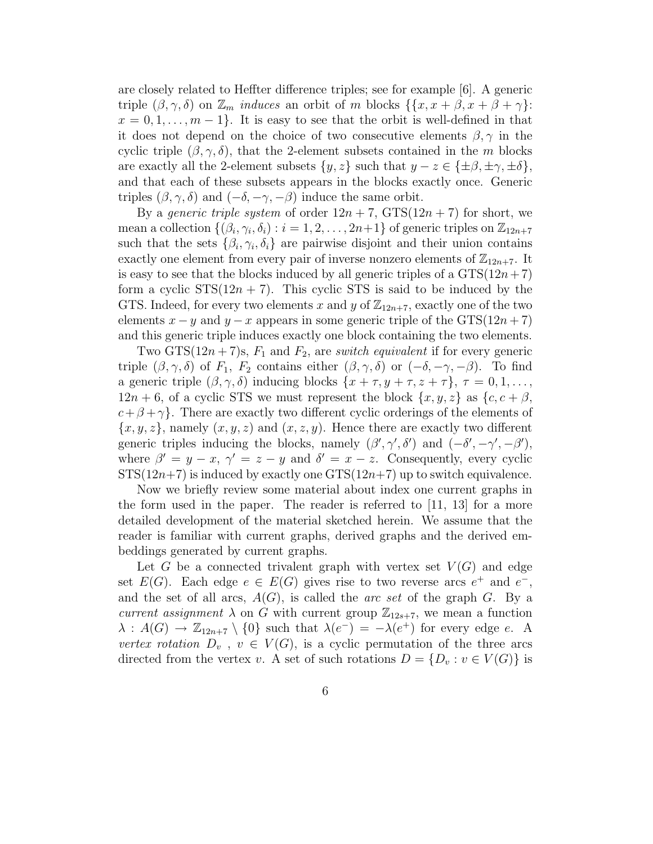are closely related to Heffter difference triples; see for example [6]. A generic triple  $(\beta, \gamma, \delta)$  on  $\mathbb{Z}_m$  *induces* an orbit of m blocks  $\{\{x, x + \beta, x + \beta + \gamma\}$ :  $x = 0, 1, \ldots, m - 1$ . It is easy to see that the orbit is well-defined in that it does not depend on the choice of two consecutive elements  $\beta, \gamma$  in the cyclic triple  $(\beta, \gamma, \delta)$ , that the 2-element subsets contained in the m blocks are exactly all the 2-element subsets  $\{y, z\}$  such that  $y - z \in \{\pm \beta, \pm \gamma, \pm \delta\},\$ and that each of these subsets appears in the blocks exactly once. Generic triples  $(\beta, \gamma, \delta)$  and  $(-\delta, -\gamma, -\beta)$  induce the same orbit.

By a *generic triple system* of order  $12n + 7$ ,  $GTS(12n + 7)$  for short, we mean a collection  $\{(\beta_i, \gamma_i, \delta_i) : i = 1, 2, \ldots, 2n+1\}$  of generic triples on  $\mathbb{Z}_{12n+7}$ such that the sets  $\{\beta_i, \gamma_i, \delta_i\}$  are pairwise disjoint and their union contains exactly one element from every pair of inverse nonzero elements of  $\mathbb{Z}_{12n+7}$ . It is easy to see that the blocks induced by all generic triples of a  $GTS(12n+7)$ form a cyclic  $STS(12n + 7)$ . This cyclic STS is said to be induced by the GTS. Indeed, for every two elements x and y of  $\mathbb{Z}_{12n+7}$ , exactly one of the two elements  $x - y$  and  $y - x$  appears in some generic triple of the GTS(12n + 7) and this generic triple induces exactly one block containing the two elements.

Two GTS $(12n + 7)$ s,  $F_1$  and  $F_2$ , are *switch equivalent* if for every generic triple  $(\beta, \gamma, \delta)$  of  $F_1$ ,  $F_2$  contains either  $(\beta, \gamma, \delta)$  or  $(-\delta, -\gamma, -\beta)$ . To find a generic triple  $(\beta, \gamma, \delta)$  inducing blocks  $\{x + \tau, y + \tau, z + \tau\}, \tau = 0, 1, \ldots,$  $12n + 6$ , of a cyclic STS we must represent the block  $\{x, y, z\}$  as  $\{c, c + \beta, \}$  $c+\beta+\gamma$ . There are exactly two different cyclic orderings of the elements of  ${x, y, z}$ , namely  $(x, y, z)$  and  $(x, z, y)$ . Hence there are exactly two different generic triples inducing the blocks, namely  $(\beta', \gamma', \delta')$  and  $(-\delta', -\gamma', -\beta')$ , where  $\beta' = y - x$ ,  $\gamma' = z - y$  and  $\delta' = x - z$ . Consequently, every cyclic  $STS(12n+7)$  is induced by exactly one  $STS(12n+7)$  up to switch equivalence.

Now we briefly review some material about index one current graphs in the form used in the paper. The reader is referred to [11, 13] for a more detailed development of the material sketched herein. We assume that the reader is familiar with current graphs, derived graphs and the derived embeddings generated by current graphs.

Let G be a connected trivalent graph with vertex set  $V(G)$  and edge set  $E(G)$ . Each edge  $e \in E(G)$  gives rise to two reverse arcs  $e^+$  and  $e^-$ , and the set of all arcs,  $A(G)$ , is called the *arc set* of the graph G. By a current assignment  $\lambda$  on G with current group  $\mathbb{Z}_{12s+7}$ , we mean a function  $\lambda$  :  $A(G) \to \mathbb{Z}_{12n+7} \setminus \{0\}$  such that  $\lambda(e^{-}) = -\lambda(e^{+})$  for every edge e. A vertex rotation  $D_v$ ,  $v \in V(G)$ , is a cyclic permutation of the three arcs directed from the vertex v. A set of such rotations  $D = \{D_v : v \in V(G)\}\$ is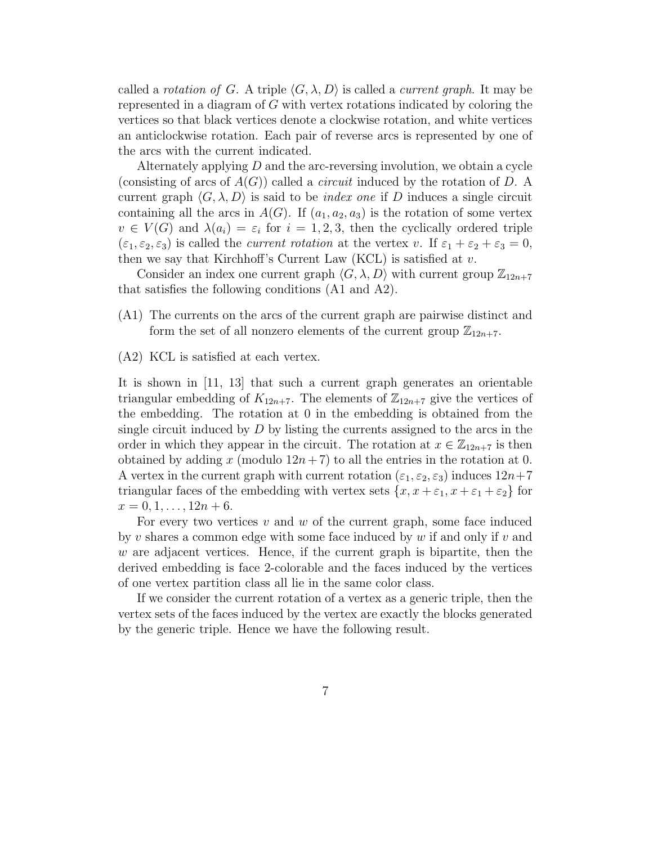called a rotation of G. A triple  $\langle G, \lambda, D \rangle$  is called a *current graph*. It may be represented in a diagram of G with vertex rotations indicated by coloring the vertices so that black vertices denote a clockwise rotation, and white vertices an anticlockwise rotation. Each pair of reverse arcs is represented by one of the arcs with the current indicated.

Alternately applying D and the arc-reversing involution, we obtain a cycle (consisting of arcs of  $A(G)$ ) called a *circuit* induced by the rotation of D. A current graph  $\langle G, \lambda, D \rangle$  is said to be *index one* if D induces a single circuit containing all the arcs in  $A(G)$ . If  $(a_1, a_2, a_3)$  is the rotation of some vertex  $v \in V(G)$  and  $\lambda(a_i) = \varepsilon_i$  for  $i = 1, 2, 3$ , then the cyclically ordered triple  $(\varepsilon_1, \varepsilon_2, \varepsilon_3)$  is called the *current rotation* at the vertex v. If  $\varepsilon_1 + \varepsilon_2 + \varepsilon_3 = 0$ , then we say that Kirchhoff's Current Law (KCL) is satisfied at  $v$ .

Consider an index one current graph  $\langle G, \lambda, D \rangle$  with current group  $\mathbb{Z}_{12n+7}$ that satisfies the following conditions (A1 and A2).

- (A1) The currents on the arcs of the current graph are pairwise distinct and form the set of all nonzero elements of the current group  $\mathbb{Z}_{12n+7}$ .
- (A2) KCL is satisfied at each vertex.

It is shown in [11, 13] that such a current graph generates an orientable triangular embedding of  $K_{12n+7}$ . The elements of  $\mathbb{Z}_{12n+7}$  give the vertices of the embedding. The rotation at 0 in the embedding is obtained from the single circuit induced by  $D$  by listing the currents assigned to the arcs in the order in which they appear in the circuit. The rotation at  $x \in \mathbb{Z}_{12n+7}$  is then obtained by adding x (modulo  $12n+7$ ) to all the entries in the rotation at 0. A vertex in the current graph with current rotation  $(\varepsilon_1, \varepsilon_2, \varepsilon_3)$  induces  $12n+7$ triangular faces of the embedding with vertex sets  $\{x, x + \varepsilon_1, x + \varepsilon_1 + \varepsilon_2\}$  for  $x = 0, 1, \ldots, 12n + 6.$ 

For every two vertices  $v$  and  $w$  of the current graph, some face induced by v shares a common edge with some face induced by  $w$  if and only if  $v$  and  $w$  are adjacent vertices. Hence, if the current graph is bipartite, then the derived embedding is face 2-colorable and the faces induced by the vertices of one vertex partition class all lie in the same color class.

If we consider the current rotation of a vertex as a generic triple, then the vertex sets of the faces induced by the vertex are exactly the blocks generated by the generic triple. Hence we have the following result.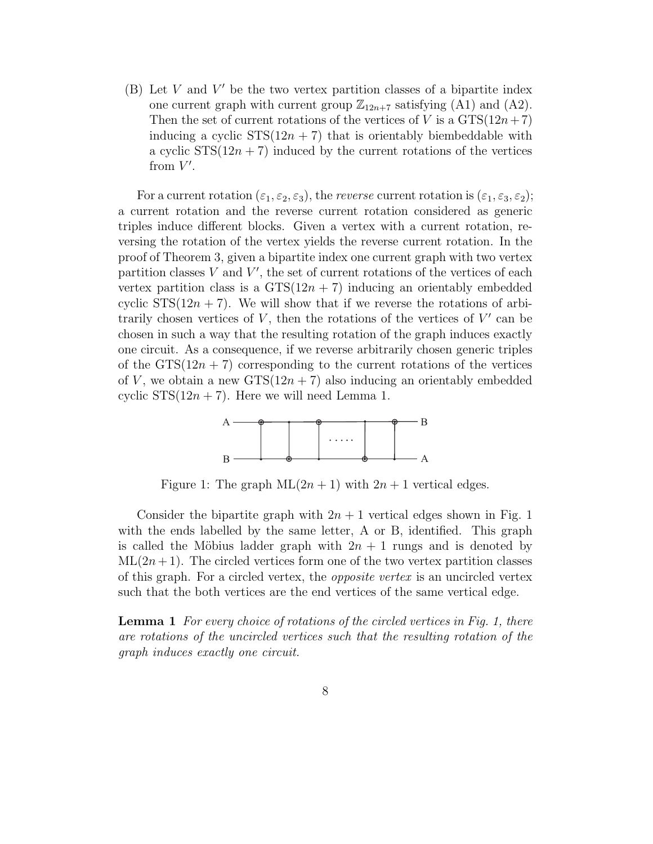$(B)$  Let V and V' be the two vertex partition classes of a bipartite index one current graph with current group  $\mathbb{Z}_{12n+7}$  satisfying (A1) and (A2). Then the set of current rotations of the vertices of V is a  $GTS(12n+7)$ inducing a cyclic  $STS(12n + 7)$  that is orientably biembeddable with a cyclic  $STS(12n + 7)$  induced by the current rotations of the vertices from  $V'$ .

For a current rotation  $(\varepsilon_1, \varepsilon_2, \varepsilon_3)$ , the *reverse* current rotation is  $(\varepsilon_1, \varepsilon_3, \varepsilon_2)$ ; a current rotation and the reverse current rotation considered as generic triples induce different blocks. Given a vertex with a current rotation, reversing the rotation of the vertex yields the reverse current rotation. In the proof of Theorem 3, given a bipartite index one current graph with two vertex partition classes  $V$  and  $V'$ , the set of current rotations of the vertices of each vertex partition class is a  $GTS(12n + 7)$  inducing an orientably embedded cyclic  $STS(12n + 7)$ . We will show that if we reverse the rotations of arbitrarily chosen vertices of  $V$ , then the rotations of the vertices of  $V'$  can be chosen in such a way that the resulting rotation of the graph induces exactly one circuit. As a consequence, if we reverse arbitrarily chosen generic triples of the  $GTS(12n + 7)$  corresponding to the current rotations of the vertices of V, we obtain a new  $GTS(12n + 7)$  also inducing an orientably embedded cyclic  $STS(12n + 7)$ . Here we will need Lemma 1.



Figure 1: The graph  $ML(2n + 1)$  with  $2n + 1$  vertical edges.

Consider the bipartite graph with  $2n + 1$  vertical edges shown in Fig. 1 with the ends labelled by the same letter, A or B, identified. This graph is called the Möbius ladder graph with  $2n + 1$  rungs and is denoted by  $ML(2n + 1)$ . The circled vertices form one of the two vertex partition classes of this graph. For a circled vertex, the opposite vertex is an uncircled vertex such that the both vertices are the end vertices of the same vertical edge.

**Lemma 1** For every choice of rotations of the circled vertices in Fig. 1, there are rotations of the uncircled vertices such that the resulting rotation of the graph induces exactly one circuit.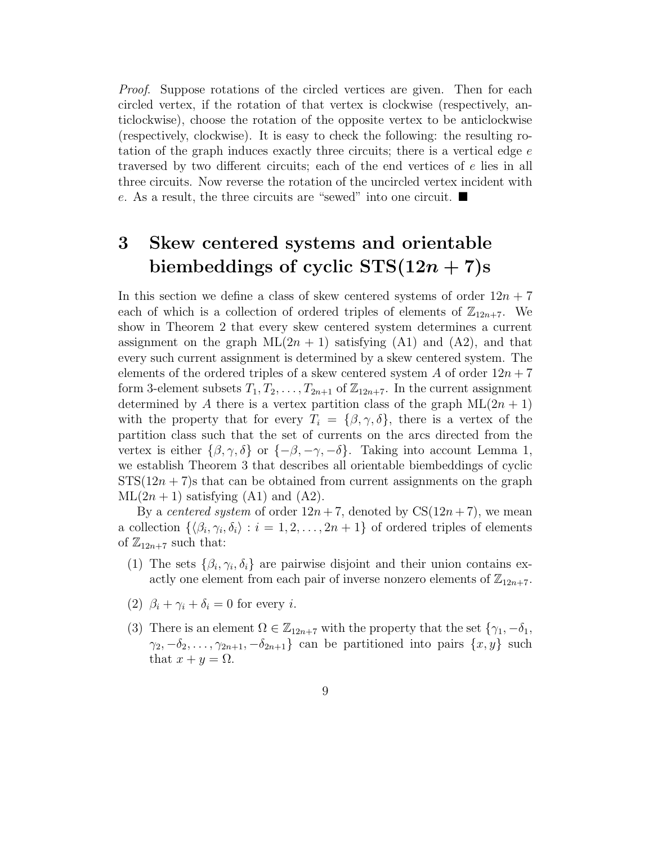Proof. Suppose rotations of the circled vertices are given. Then for each circled vertex, if the rotation of that vertex is clockwise (respectively, anticlockwise), choose the rotation of the opposite vertex to be anticlockwise (respectively, clockwise). It is easy to check the following: the resulting rotation of the graph induces exactly three circuits; there is a vertical edge e traversed by two different circuits; each of the end vertices of e lies in all three circuits. Now reverse the rotation of the uncircled vertex incident with e. As a result, the three circuits are "sewed" into one circuit.  $\blacksquare$ 

# 3 Skew centered systems and orientable biembeddings of cyclic  $STS(12n + 7)s$

In this section we define a class of skew centered systems of order  $12n + 7$ each of which is a collection of ordered triples of elements of  $\mathbb{Z}_{12n+7}$ . We show in Theorem 2 that every skew centered system determines a current assignment on the graph  $ML(2n + 1)$  satisfying (A1) and (A2), and that every such current assignment is determined by a skew centered system. The elements of the ordered triples of a skew centered system A of order  $12n + 7$ form 3-element subsets  $T_1, T_2, \ldots, T_{2n+1}$  of  $\mathbb{Z}_{12n+7}$ . In the current assignment determined by A there is a vertex partition class of the graph  $ML(2n + 1)$ with the property that for every  $T_i = {\beta, \gamma, \delta}$ , there is a vertex of the partition class such that the set of currents on the arcs directed from the vertex is either  $\{\beta, \gamma, \delta\}$  or  $\{-\beta, -\gamma, -\delta\}$ . Taking into account Lemma 1, we establish Theorem 3 that describes all orientable biembeddings of cyclic  $STS(12n + 7)$  s that can be obtained from current assignments on the graph  $ML(2n + 1)$  satisfying  $(A1)$  and  $(A2)$ .

By a *centered system* of order  $12n + 7$ , denoted by  $CS(12n + 7)$ , we mean a collection  $\{\langle \beta_i, \gamma_i, \delta_i \rangle : i = 1, 2, ..., 2n + 1\}$  of ordered triples of elements of  $\mathbb{Z}_{12n+7}$  such that:

- (1) The sets  $\{\beta_i, \gamma_i, \delta_i\}$  are pairwise disjoint and their union contains exactly one element from each pair of inverse nonzero elements of  $\mathbb{Z}_{12n+7}$ .
- (2)  $\beta_i + \gamma_i + \delta_i = 0$  for every *i*.
- (3) There is an element  $\Omega \in \mathbb{Z}_{12n+7}$  with the property that the set  $\{\gamma_1, -\delta_1,$  $\gamma_2, -\delta_2, \ldots, \gamma_{2n+1}, -\delta_{2n+1}$  can be partitioned into pairs  $\{x, y\}$  such that  $x + y = \Omega$ .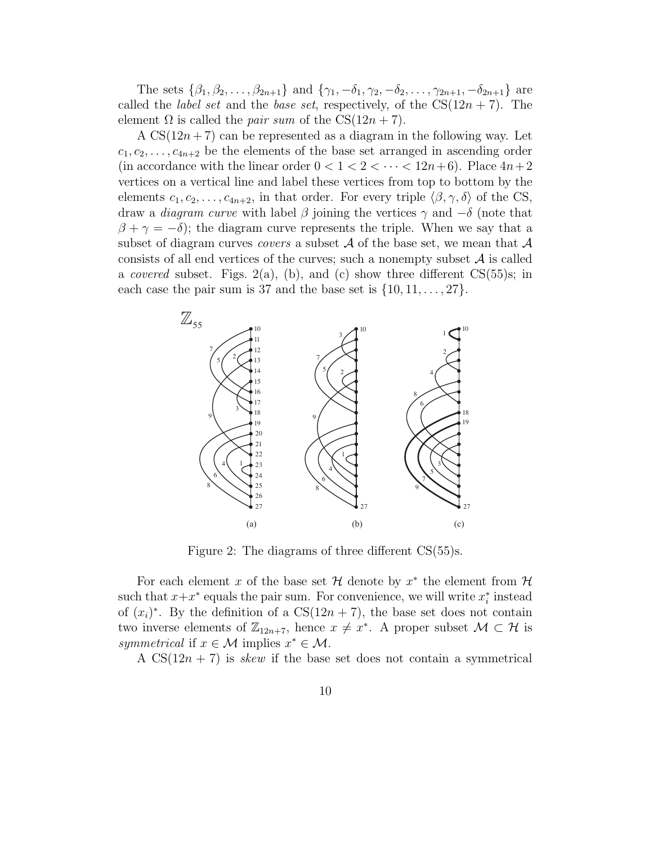The sets  $\{\beta_1, \beta_2, \ldots, \beta_{2n+1}\}\$  and  $\{\gamma_1, -\delta_1, \gamma_2, -\delta_2, \ldots, \gamma_{2n+1}, -\delta_{2n+1}\}\$  are called the *label set* and the *base set*, respectively, of the  $CS(12n + 7)$ . The element  $\Omega$  is called the *pair sum* of the  $CS(12n + 7)$ .

A  $CS(12n+7)$  can be represented as a diagram in the following way. Let  $c_1, c_2, \ldots, c_{4n+2}$  be the elements of the base set arranged in ascending order (in accordance with the linear order  $0 < 1 < 2 < \cdots < 12n+6$ ). Place  $4n+2$ vertices on a vertical line and label these vertices from top to bottom by the elements  $c_1, c_2, \ldots, c_{4n+2}$ , in that order. For every triple  $\langle \beta, \gamma, \delta \rangle$  of the CS, draw a *diagram curve* with label  $\beta$  joining the vertices  $\gamma$  and  $-\delta$  (note that  $\beta + \gamma = -\delta$ ; the diagram curve represents the triple. When we say that a subset of diagram curves *covers* a subset  $A$  of the base set, we mean that  $A$ consists of all end vertices of the curves; such a nonempty subset  $A$  is called a *covered* subset. Figs.  $2(a)$ , (b), and (c) show three different CS(55)s; in each case the pair sum is 37 and the base set is  $\{10, 11, \ldots, 27\}$ .



Figure 2: The diagrams of three different CS(55)s.

For each element x of the base set H denote by  $x^*$  the element from H such that  $x+x^*$  equals the pair sum. For convenience, we will write  $x_i^*$  instead of  $(x_i)^*$ . By the definition of a  $CS(12n + 7)$ , the base set does not contain two inverse elements of  $\mathbb{Z}_{12n+7}$ , hence  $x \neq x^*$ . A proper subset  $\mathcal{M} \subset \mathcal{H}$  is symmetrical if  $x \in \mathcal{M}$  implies  $x^* \in \mathcal{M}$ .

A  $CS(12n + 7)$  is *skew* if the base set does not contain a symmetrical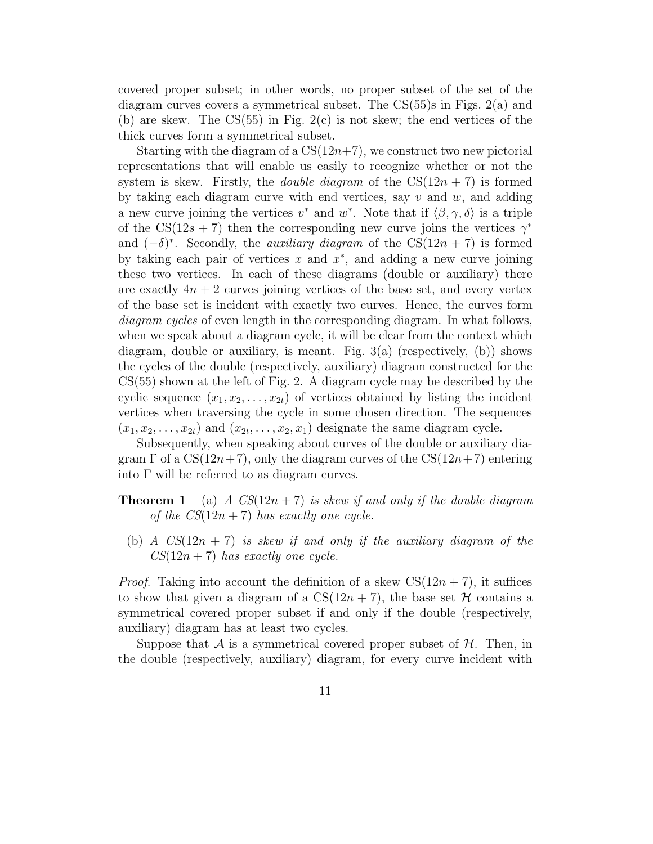covered proper subset; in other words, no proper subset of the set of the diagram curves covers a symmetrical subset. The  $CS(55)$ s in Figs.  $2(a)$  and (b) are skew. The  $CS(55)$  in Fig.  $2(c)$  is not skew; the end vertices of the thick curves form a symmetrical subset.

Starting with the diagram of a  $CS(12n+7)$ , we construct two new pictorial representations that will enable us easily to recognize whether or not the system is skew. Firstly, the *double diagram* of the  $CS(12n + 7)$  is formed by taking each diagram curve with end vertices, say  $v$  and  $w$ , and adding a new curve joining the vertices  $v^*$  and  $w^*$ . Note that if  $\langle \beta, \gamma, \delta \rangle$  is a triple of the CS(12s + 7) then the corresponding new curve joins the vertices  $\gamma^*$ and  $(-\delta)^*$ . Secondly, the *auxiliary diagram* of the CS(12n + 7) is formed by taking each pair of vertices  $x$  and  $x^*$ , and adding a new curve joining these two vertices. In each of these diagrams (double or auxiliary) there are exactly  $4n + 2$  curves joining vertices of the base set, and every vertex of the base set is incident with exactly two curves. Hence, the curves form diagram cycles of even length in the corresponding diagram. In what follows, when we speak about a diagram cycle, it will be clear from the context which diagram, double or auxiliary, is meant. Fig.  $3(a)$  (respectively, (b)) shows the cycles of the double (respectively, auxiliary) diagram constructed for the CS(55) shown at the left of Fig. 2. A diagram cycle may be described by the cyclic sequence  $(x_1, x_2, \ldots, x_{2t})$  of vertices obtained by listing the incident vertices when traversing the cycle in some chosen direction. The sequences  $(x_1, x_2, \ldots, x_{2t})$  and  $(x_{2t}, \ldots, x_2, x_1)$  designate the same diagram cycle.

Subsequently, when speaking about curves of the double or auxiliary diagram  $\Gamma$  of a  $CS(12n+7)$ , only the diagram curves of the  $CS(12n+7)$  entering into Γ will be referred to as diagram curves.

**Theorem 1** (a) A  $CS(12n + 7)$  is skew if and only if the double diagram of the  $CS(12n + 7)$  has exactly one cycle.

(b) A  $CS(12n + 7)$  is skew if and only if the auxiliary diagram of the  $CS(12n + 7)$  has exactly one cycle.

*Proof.* Taking into account the definition of a skew  $CS(12n + 7)$ , it suffices to show that given a diagram of a  $CS(12n + 7)$ , the base set H contains a symmetrical covered proper subset if and only if the double (respectively, auxiliary) diagram has at least two cycles.

Suppose that A is a symmetrical covered proper subset of  $H$ . Then, in the double (respectively, auxiliary) diagram, for every curve incident with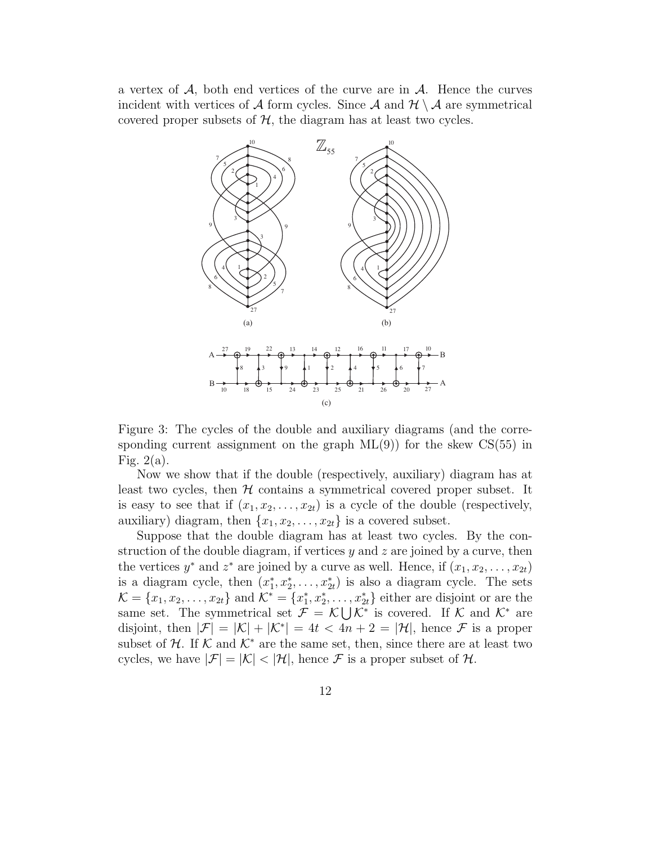a vertex of  $A$ , both end vertices of the curve are in  $A$ . Hence the curves incident with vertices of A form cycles. Since A and  $\mathcal{H} \setminus \mathcal{A}$  are symmetrical covered proper subsets of  $H$ , the diagram has at least two cycles.



Figure 3: The cycles of the double and auxiliary diagrams (and the corresponding current assignment on the graph  $ML(9)$  for the skew  $CS(55)$  in Fig.  $2(a)$ .

Now we show that if the double (respectively, auxiliary) diagram has at least two cycles, then  $H$  contains a symmetrical covered proper subset. It is easy to see that if  $(x_1, x_2, \ldots, x_{2t})$  is a cycle of the double (respectively, auxiliary) diagram, then  $\{x_1, x_2, \ldots, x_{2t}\}$  is a covered subset.

Suppose that the double diagram has at least two cycles. By the construction of the double diagram, if vertices  $y$  and  $z$  are joined by a curve, then the vertices  $y^*$  and  $z^*$  are joined by a curve as well. Hence, if  $(x_1, x_2, \ldots, x_{2t})$ is a diagram cycle, then  $(x_1^*, x_2^*, \ldots, x_{2t}^*)$  is also a diagram cycle. The sets  $\mathcal{K} = \{x_1, x_2, \ldots, x_{2t}\}\$ and  $\mathcal{K}^* = \{x_1^*, x_2^*, \ldots, x_{2t}^*\}\$ either are disjoint or are the same set. The symmetrical set  $\mathcal{F} = \mathcal{K} \bigcup \mathcal{K}^*$  is covered. If  $\mathcal{K}$  and  $\mathcal{K}^*$  are disjoint, then  $|\mathcal{F}| = |\mathcal{K}| + |\mathcal{K}^*| = 4t < 4n + 2 = |\mathcal{H}|$ , hence  $\mathcal{F}$  is a proper subset of  $H$ . If K and  $K^*$  are the same set, then, since there are at least two cycles, we have  $|\mathcal{F}| = |\mathcal{K}| < |\mathcal{H}|$ , hence  $\mathcal F$  is a proper subset of  $\mathcal{H}$ .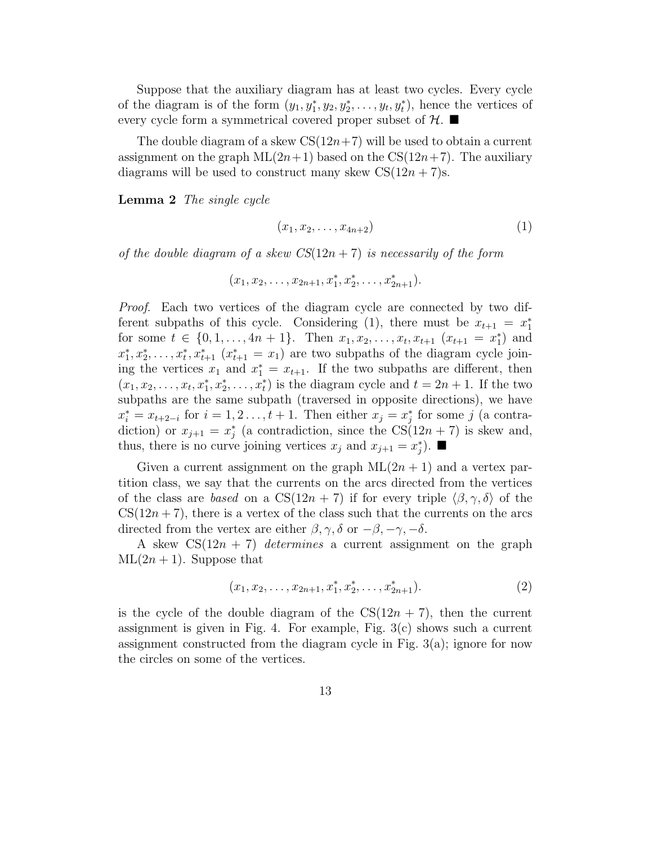Suppose that the auxiliary diagram has at least two cycles. Every cycle of the diagram is of the form  $(y_1, y_1^*, y_2, y_2^*, \ldots, y_t, y_t^*)$ , hence the vertices of every cycle form a symmetrical covered proper subset of  $H$ .

The double diagram of a skew  $CS(12n+7)$  will be used to obtain a current assignment on the graph  $ML(2n+1)$  based on the  $CS(12n+7)$ . The auxiliary diagrams will be used to construct many skew  $CS(12n + 7)s$ .

Lemma 2 The single cycle

$$
(x_1,x_2,\ldots,x_{4n+2})\tag{1}
$$

of the double diagram of a skew  $CS(12n + 7)$  is necessarily of the form

$$
(x_1, x_2, \ldots, x_{2n+1}, x_1^*, x_2^*, \ldots, x_{2n+1}^*).
$$

Proof. Each two vertices of the diagram cycle are connected by two different subpaths of this cycle. Considering (1), there must be  $x_{t+1} = x_1^*$ for some  $t \in \{0, 1, \ldots, 4n + 1\}$ . Then  $x_1, x_2, \ldots, x_t, x_{t+1}$   $(x_{t+1} = x_1^*)$  and  $x_1^*, x_2^*, \ldots, x_t^*, x_{t+1}^*$   $(x_{t+1}^* = x_1)$  are two subpaths of the diagram cycle joining the vertices  $x_1$  and  $x_1^* = x_{t+1}$ . If the two subpaths are different, then  $(x_1, x_2, \ldots, x_t, x_1^*, x_2^*, \ldots, x_t^*)$  is the diagram cycle and  $t = 2n + 1$ . If the two subpaths are the same subpath (traversed in opposite directions), we have  $x_i^* = x_{t+2-i}$  for  $i = 1, 2, \ldots, t+1$ . Then either  $x_j = x_j^*$  for some j (a contradiction) or  $x_{j+1} = x_j^*$  (a contradiction, since the  $CS(12n + 7)$  is skew and, thus, there is no curve joining vertices  $x_j$  and  $x_{j+1} = x_j^*$ ).

Given a current assignment on the graph  $ML(2n + 1)$  and a vertex partition class, we say that the currents on the arcs directed from the vertices of the class are based on a  $CS(12n + 7)$  if for every triple  $\langle \beta, \gamma, \delta \rangle$  of the  $CS(12n + 7)$ , there is a vertex of the class such that the currents on the arcs directed from the vertex are either  $\beta$ ,  $\gamma$ ,  $\delta$  or  $-\beta$ ,  $-\gamma$ ,  $-\delta$ .

A skew  $CS(12n + 7)$  determines a current assignment on the graph  $ML(2n + 1)$ . Suppose that

$$
(x_1, x_2, \dots, x_{2n+1}, x_1^*, x_2^*, \dots, x_{2n+1}^*).
$$
 (2)

is the cycle of the double diagram of the  $CS(12n + 7)$ , then the current assignment is given in Fig. 4. For example, Fig. 3(c) shows such a current assignment constructed from the diagram cycle in Fig. 3(a); ignore for now the circles on some of the vertices.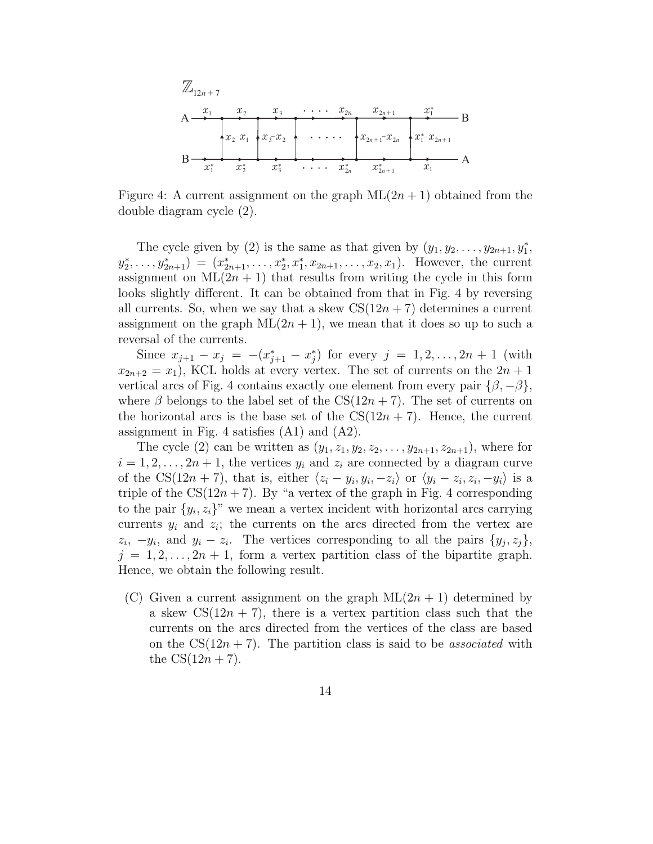

Figure 4: A current assignment on the graph  $ML(2n + 1)$  obtained from the double diagram cycle (2).

The cycle given by (2) is the same as that given by  $(y_1, y_2, \ldots, y_{2n+1}, y_1^*$ ,  $(y_2^*, \ldots, y_{2n+1}^*) = (x_{2n+1}^*, \ldots, x_2^*, x_1^*, x_{2n+1}, \ldots, x_2, x_1).$  However, the current assignment on  $ML(2n + 1)$  that results from writing the cycle in this form looks slightly different. It can be obtained from that in Fig. 4 by reversing all currents. So, when we say that a skew  $CS(12n + 7)$  determines a current assignment on the graph  $ML(2n + 1)$ , we mean that it does so up to such a reversal of the currents.

Since  $x_{j+1} - x_j = -(x_{j+1}^* - x_j^*)$  for every  $j = 1, 2, ..., 2n + 1$  (with  $x_{2n+2} = x_1$ , KCL holds at every vertex. The set of currents on the  $2n + 1$ vertical arcs of Fig. 4 contains exactly one element from every pair  $\{\beta, -\beta\},\$ where  $\beta$  belongs to the label set of the CS(12n + 7). The set of currents on the horizontal arcs is the base set of the  $CS(12n + 7)$ . Hence, the current assignment in Fig. 4 satisfies (A1) and (A2).

The cycle (2) can be written as  $(y_1, z_1, y_2, z_2, \ldots, y_{2n+1}, z_{2n+1})$ , where for  $i = 1, 2, \ldots, 2n + 1$ , the vertices  $y_i$  and  $z_i$  are connected by a diagram curve of the CS(12n + 7), that is, either  $\langle z_i - y_i, y_i, -z_i \rangle$  or  $\langle y_i - z_i, z_i, -y_i \rangle$  is a triple of the  $CS(12n + 7)$ . By "a vertex of the graph in Fig. 4 corresponding to the pair  $\{y_i, z_i\}$ " we mean a vertex incident with horizontal arcs carrying currents  $y_i$  and  $z_i$ ; the currents on the arcs directed from the vertex are  $z_i$ ,  $-y_i$ , and  $y_i - z_i$ . The vertices corresponding to all the pairs  $\{y_j, z_j\}$ ,  $j = 1, 2, \ldots, 2n + 1$ , form a vertex partition class of the bipartite graph. Hence, we obtain the following result.

(C) Given a current assignment on the graph  $ML(2n + 1)$  determined by a skew  $CS(12n + 7)$ , there is a vertex partition class such that the currents on the arcs directed from the vertices of the class are based on the  $CS(12n + 7)$ . The partition class is said to be *associated* with the  $CS(12n + 7)$ .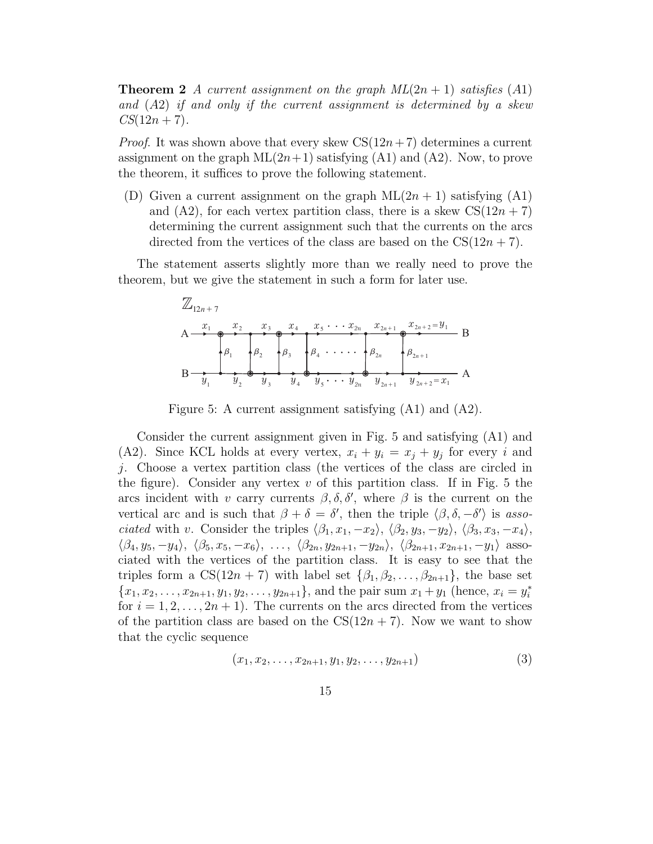**Theorem 2** A current assignment on the graph  $ML(2n + 1)$  satisfies (A1) and (A2) if and only if the current assignment is determined by a skew  $CS(12n + 7)$ .

*Proof.* It was shown above that every skew  $CS(12n+7)$  determines a current assignment on the graph  $ML(2n+1)$  satisfying  $(A1)$  and  $(A2)$ . Now, to prove the theorem, it suffices to prove the following statement.

(D) Given a current assignment on the graph  $ML(2n + 1)$  satisfying (A1) and (A2), for each vertex partition class, there is a skew  $CS(12n + 7)$ determining the current assignment such that the currents on the arcs directed from the vertices of the class are based on the  $CS(12n + 7)$ .

The statement asserts slightly more than we really need to prove the theorem, but we give the statement in such a form for later use.

A B A B Z12n+7 *x*1 *x*1 º1 º2 º3 º4 º2n º2n+1 *y*1 *y*1 *y* 2 *y*3 *y*4 *y* 5 *x*<sup>2</sup> *x2n y 2n x*2n+1 *y*2n+1 *x*2n+2 *y*2n+2 *x*<sup>3</sup> *x*<sup>4</sup> *x*<sup>5</sup> = =

Figure 5: A current assignment satisfying (A1) and (A2).

Consider the current assignment given in Fig. 5 and satisfying (A1) and (A2). Since KCL holds at every vertex,  $x_i + y_i = x_j + y_j$  for every i and j. Choose a vertex partition class (the vertices of the class are circled in the figure). Consider any vertex  $v$  of this partition class. If in Fig. 5 the arcs incident with v carry currents  $\beta$ ,  $\delta$ ,  $\delta'$ , where  $\beta$  is the current on the vertical arc and is such that  $\beta + \delta = \delta'$ , then the triple  $\langle \beta, \delta, -\delta' \rangle$  is associated with v. Consider the triples  $\langle \beta_1, x_1, -x_2 \rangle$ ,  $\langle \beta_2, y_3, -y_2 \rangle$ ,  $\langle \beta_3, x_3, -x_4 \rangle$ ,  $\langle \beta_4, y_5, -y_4 \rangle, \langle \beta_5, x_5, -x_6 \rangle, \ldots, \langle \beta_{2n}, y_{2n+1}, -y_{2n} \rangle, \langle \beta_{2n+1}, x_{2n+1}, -y_1 \rangle$  associated with the vertices of the partition class. It is easy to see that the triples form a  $CS(12n + 7)$  with label set  $\{\beta_1, \beta_2, \ldots, \beta_{2n+1}\}\$ , the base set  ${x_1, x_2, \ldots, x_{2n+1}, y_1, y_2, \ldots, y_{2n+1}},$  and the pair sum  $x_1 + y_1$  (hence,  $x_i = y_i^*$ ) for  $i = 1, 2, \ldots, 2n + 1$ . The currents on the arcs directed from the vertices of the partition class are based on the  $CS(12n + 7)$ . Now we want to show that the cyclic sequence

$$
(x_1, x_2, \ldots, x_{2n+1}, y_1, y_2, \ldots, y_{2n+1})
$$
\n(3)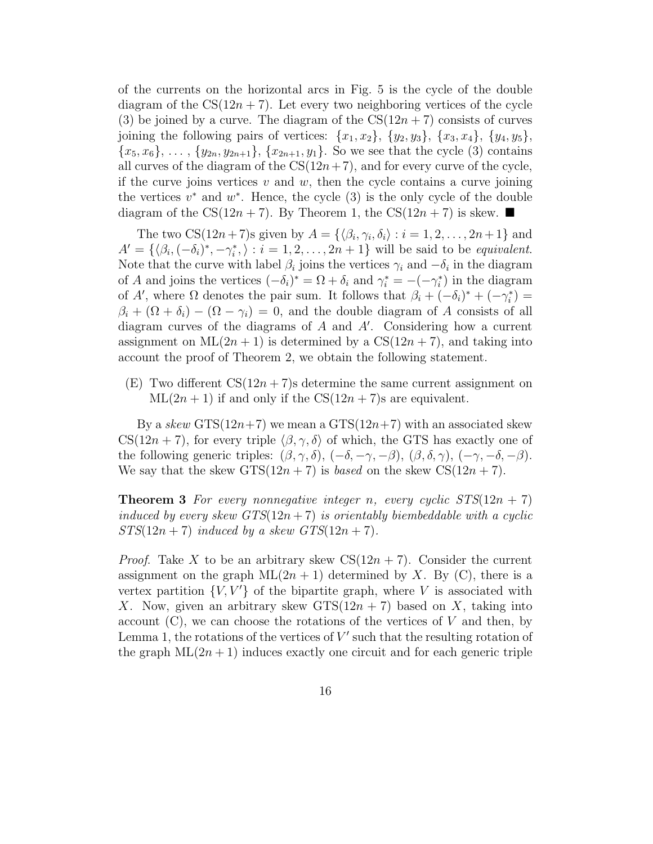of the currents on the horizontal arcs in Fig. 5 is the cycle of the double diagram of the  $CS(12n + 7)$ . Let every two neighboring vertices of the cycle (3) be joined by a curve. The diagram of the  $CS(12n + 7)$  consists of curves joining the following pairs of vertices:  $\{x_1, x_2\}, \{y_2, y_3\}, \{x_3, x_4\}, \{y_4, y_5\}$  ${x_5, x_6}, \ldots, {y_{2n}, y_{2n+1}}, {x_{2n+1}, y_1}.$  So we see that the cycle (3) contains all curves of the diagram of the  $CS(12n+7)$ , and for every curve of the cycle, if the curve joins vertices  $v$  and  $w$ , then the cycle contains a curve joining the vertices  $v^*$  and  $w^*$ . Hence, the cycle  $(3)$  is the only cycle of the double diagram of the CS(12n + 7). By Theorem 1, the CS(12n + 7) is skew.

The two  $CS(12n+7)$ s given by  $A = \{\langle \beta_i, \gamma_i, \delta_i \rangle : i = 1, 2, \ldots, 2n+1 \}$  and  $A' = \{(\beta_i, (-\delta_i)^*, -\gamma_i^*, \rangle : i = 1, 2, \dots, 2n + 1\}$  will be said to be *equivalent*. Note that the curve with label  $\beta_i$  joins the vertices  $\gamma_i$  and  $-\delta_i$  in the diagram of A and joins the vertices  $(-\delta_i)^* = \Omega + \delta_i$  and  $\gamma_i^* = -(-\gamma_i^*)$  in the diagram of A', where  $\Omega$  denotes the pair sum. It follows that  $\beta_i + (-\delta_i)^* + (-\gamma_i^*) =$  $\beta_i + (\Omega + \delta_i) - (\Omega - \gamma_i) = 0$ , and the double diagram of A consists of all diagram curves of the diagrams of A and A′ . Considering how a current assignment on  $ML(2n + 1)$  is determined by a  $CS(12n + 7)$ , and taking into account the proof of Theorem 2, we obtain the following statement.

 $(E)$  Two different  $CS(12n + 7)$ s determine the same current assignment on  $ML(2n + 1)$  if and only if the  $CS(12n + 7)$ s are equivalent.

By a skew  $\text{STS}(12n+7)$  we mean a  $\text{STS}(12n+7)$  with an associated skew  $CS(12n + 7)$ , for every triple  $\langle \beta, \gamma, \delta \rangle$  of which, the GTS has exactly one of the following generic triples:  $(\beta, \gamma, \delta)$ ,  $(-\delta, -\gamma, -\beta)$ ,  $(\beta, \delta, \gamma)$ ,  $(-\gamma, -\delta, -\beta)$ . We say that the skew  $GTS(12n + 7)$  is *based* on the skew  $CS(12n + 7)$ .

**Theorem 3** For every nonnegative integer n, every cyclic  $STS(12n + 7)$ induced by every skew  $GTS(12n+7)$  is orientably biembeddable with a cyclic  $STS(12n+7)$  induced by a skew  $GTS(12n+7)$ .

*Proof.* Take X to be an arbitrary skew  $CS(12n + 7)$ . Consider the current assignment on the graph  $ML(2n + 1)$  determined by X. By (C), there is a vertex partition  $\{V, V'\}$  of the bipartite graph, where V is associated with X. Now, given an arbitrary skew  $GTS(12n + 7)$  based on X, taking into account  $(C)$ , we can choose the rotations of the vertices of V and then, by Lemma 1, the rotations of the vertices of  $V'$  such that the resulting rotation of the graph  $ML(2n + 1)$  induces exactly one circuit and for each generic triple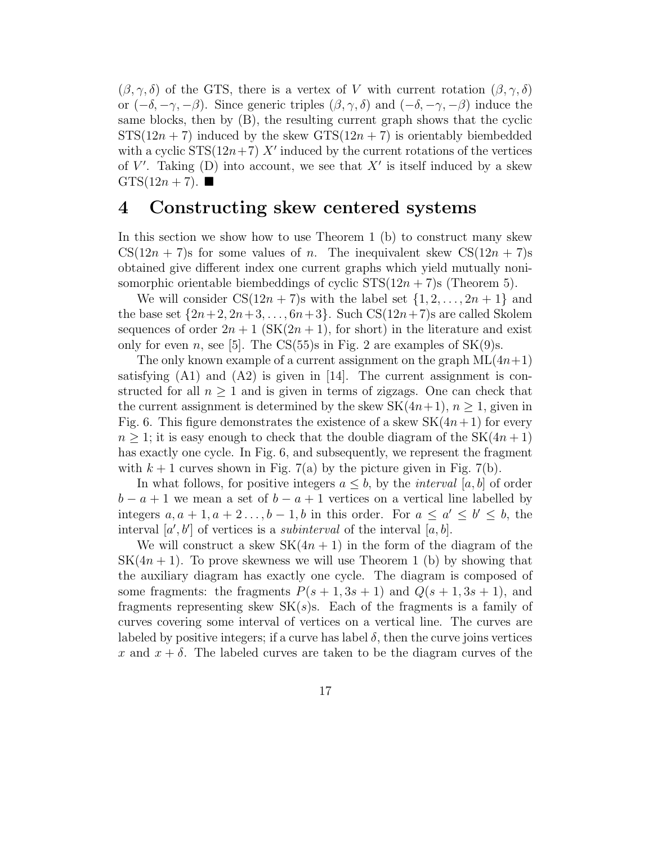$(\beta, \gamma, \delta)$  of the GTS, there is a vertex of V with current rotation  $(\beta, \gamma, \delta)$ or  $(-\delta, -\gamma, -\beta)$ . Since generic triples  $(\beta, \gamma, \delta)$  and  $(-\delta, -\gamma, -\beta)$  induce the same blocks, then by (B), the resulting current graph shows that the cyclic  $STS(12n + 7)$  induced by the skew  $GTS(12n + 7)$  is orientably biembedded with a cyclic  $STS(12n+7)$  X' induced by the current rotations of the vertices of  $V'$ . Taking (D) into account, we see that  $X'$  is itself induced by a skew  $GTS(12n + 7)$ .

## 4 Constructing skew centered systems

In this section we show how to use Theorem 1 (b) to construct many skew  $CS(12n + 7)$ s for some values of n. The inequivalent skew  $CS(12n + 7)$ s obtained give different index one current graphs which yield mutually nonisomorphic orientable biembeddings of cyclic  $STS(12n + 7)$ s (Theorem 5).

We will consider  $CS(12n + 7)$ s with the label set  $\{1, 2, \ldots, 2n + 1\}$  and the base set  $\{2n+2, 2n+3, \ldots, 6n+3\}$ . Such  $CS(12n+7)$ s are called Skolem sequences of order  $2n + 1$  (SK $(2n + 1)$ , for short) in the literature and exist only for even n, see [5]. The CS(55)s in Fig. 2 are examples of  $SK(9)s$ .

The only known example of a current assignment on the graph  $ML(4n+1)$ satisfying  $(A1)$  and  $(A2)$  is given in [14]. The current assignment is constructed for all  $n \geq 1$  and is given in terms of zigzags. One can check that the current assignment is determined by the skew  $SK(4n+1), n \geq 1$ , given in Fig. 6. This figure demonstrates the existence of a skew  $SK(4n+1)$  for every  $n \geq 1$ ; it is easy enough to check that the double diagram of the SK $(4n+1)$ has exactly one cycle. In Fig. 6, and subsequently, we represent the fragment with  $k + 1$  curves shown in Fig. 7(a) by the picture given in Fig. 7(b).

In what follows, for positive integers  $a \leq b$ , by the *interval*  $|a, b|$  of order  $b - a + 1$  we mean a set of  $b - a + 1$  vertices on a vertical line labelled by integers  $a, a + 1, a + 2 \ldots, b - 1, b$  in this order. For  $a \le a' \le b' \le b$ , the interval  $[a', b']$  of vertices is a *subinterval* of the interval  $[a, b]$ .

We will construct a skew  $SK(4n + 1)$  in the form of the diagram of the  $SK(4n + 1)$ . To prove skewness we will use Theorem 1 (b) by showing that the auxiliary diagram has exactly one cycle. The diagram is composed of some fragments: the fragments  $P(s + 1, 3s + 1)$  and  $Q(s + 1, 3s + 1)$ , and fragments representing skew  $SK(s)$ s. Each of the fragments is a family of curves covering some interval of vertices on a vertical line. The curves are labeled by positive integers; if a curve has label  $\delta$ , then the curve joins vertices x and  $x + \delta$ . The labeled curves are taken to be the diagram curves of the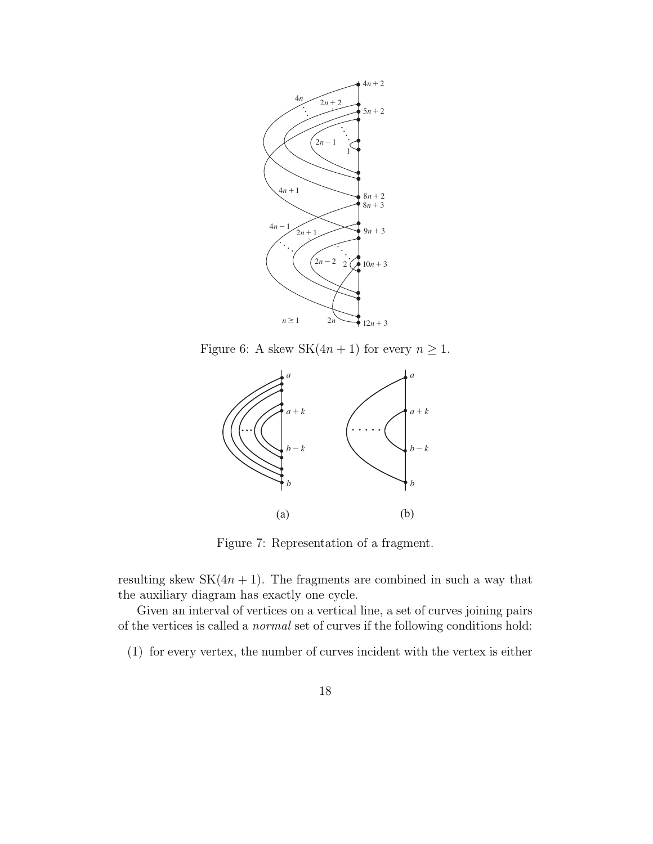

Figure 6: A skew  $SK(4n + 1)$  for every  $n \ge 1$ .



Figure 7: Representation of a fragment.

resulting skew  $SK(4n + 1)$ . The fragments are combined in such a way that the auxiliary diagram has exactly one cycle.

Given an interval of vertices on a vertical line, a set of curves joining pairs of the vertices is called a normal set of curves if the following conditions hold:

(1) for every vertex, the number of curves incident with the vertex is either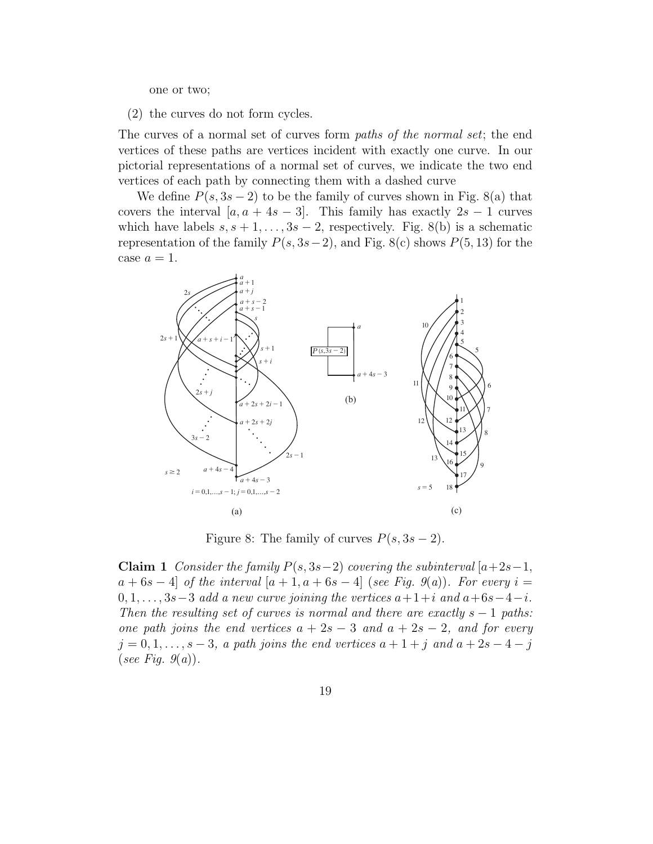one or two;

(2) the curves do not form cycles.

The curves of a normal set of curves form *paths of the normal set*; the end vertices of these paths are vertices incident with exactly one curve. In our pictorial representations of a normal set of curves, we indicate the two end vertices of each path by connecting them with a dashed curve

We define  $P(s, 3s - 2)$  to be the family of curves shown in Fig. 8(a) that covers the interval  $[a, a + 4s - 3]$ . This family has exactly  $2s - 1$  curves which have labels  $s, s + 1, \ldots, 3s - 2$ , respectively. Fig. 8(b) is a schematic representation of the family  $P(s, 3s-2)$ , and Fig. 8(c) shows  $P(5, 13)$  for the case  $a=1$ .



Figure 8: The family of curves  $P(s, 3s - 2)$ .

Claim 1 Consider the family  $P(s, 3s-2)$  covering the subinterval [a+2s−1,  $a + 6s - 4$  of the interval  $[a + 1, a + 6s - 4]$  (see Fig. 9(a)). For every  $i =$  $0, 1, \ldots, 3s-3$  add a new curve joining the vertices  $a+1+i$  and  $a+6s-4-i$ . Then the resulting set of curves is normal and there are exactly  $s - 1$  paths: one path joins the end vertices  $a + 2s - 3$  and  $a + 2s - 2$ , and for every  $j = 0, 1, \ldots, s - 3$ , a path joins the end vertices  $a + 1 + j$  and  $a + 2s - 4 - j$ (see Fig.  $g(a)$ ).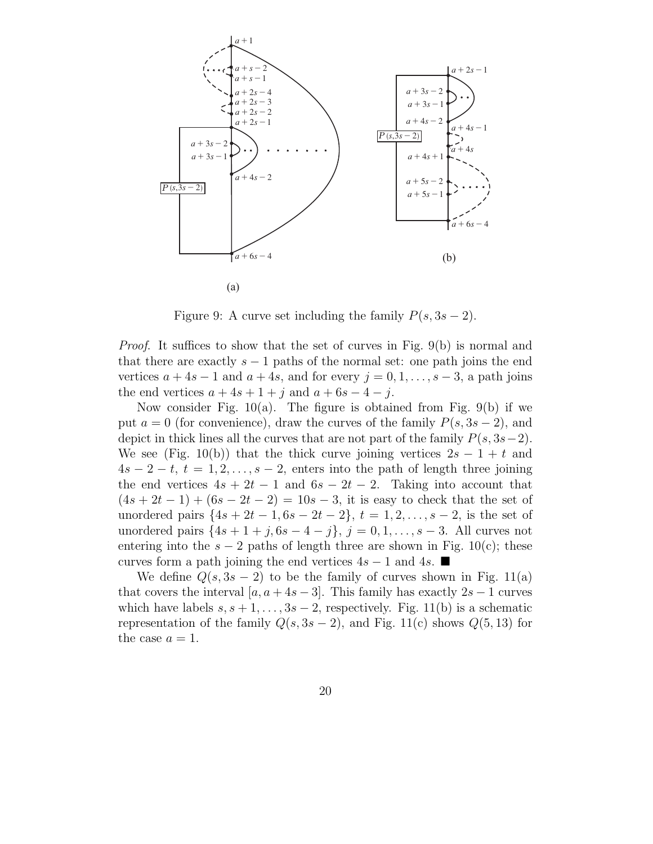

Figure 9: A curve set including the family  $P(s, 3s - 2)$ .

Proof. It suffices to show that the set of curves in Fig. 9(b) is normal and that there are exactly  $s - 1$  paths of the normal set: one path joins the end vertices  $a + 4s - 1$  and  $a + 4s$ , and for every  $j = 0, 1, \ldots, s - 3$ , a path joins the end vertices  $a + 4s + 1 + j$  and  $a + 6s - 4 - j$ .

Now consider Fig.  $10(a)$ . The figure is obtained from Fig.  $9(b)$  if we put  $a = 0$  (for convenience), draw the curves of the family  $P(s, 3s - 2)$ , and depict in thick lines all the curves that are not part of the family  $P(s, 3s-2)$ . We see (Fig. 10(b)) that the thick curve joining vertices  $2s - 1 + t$  and  $4s - 2 - t$ ,  $t = 1, 2, \ldots, s - 2$ , enters into the path of length three joining the end vertices  $4s + 2t - 1$  and  $6s - 2t - 2$ . Taking into account that  $(4s + 2t - 1) + (6s - 2t - 2) = 10s - 3$ , it is easy to check that the set of unordered pairs  $\{4s + 2t - 1, 6s - 2t - 2\}, t = 1, 2, \ldots, s - 2$ , is the set of unordered pairs  $\{4s + 1 + j, 6s - 4 - j\}, j = 0, 1, ..., s - 3$ . All curves not entering into the  $s - 2$  paths of length three are shown in Fig. 10(c); these curves form a path joining the end vertices  $4s - 1$  and  $4s$ .

We define  $Q(s, 3s - 2)$  to be the family of curves shown in Fig. 11(a) that covers the interval  $[a, a + 4s - 3]$ . This family has exactly  $2s - 1$  curves which have labels  $s, s + 1, \ldots, 3s - 2$ , respectively. Fig. 11(b) is a schematic representation of the family  $Q(s, 3s - 2)$ , and Fig. 11(c) shows  $Q(5, 13)$  for the case  $a = 1$ .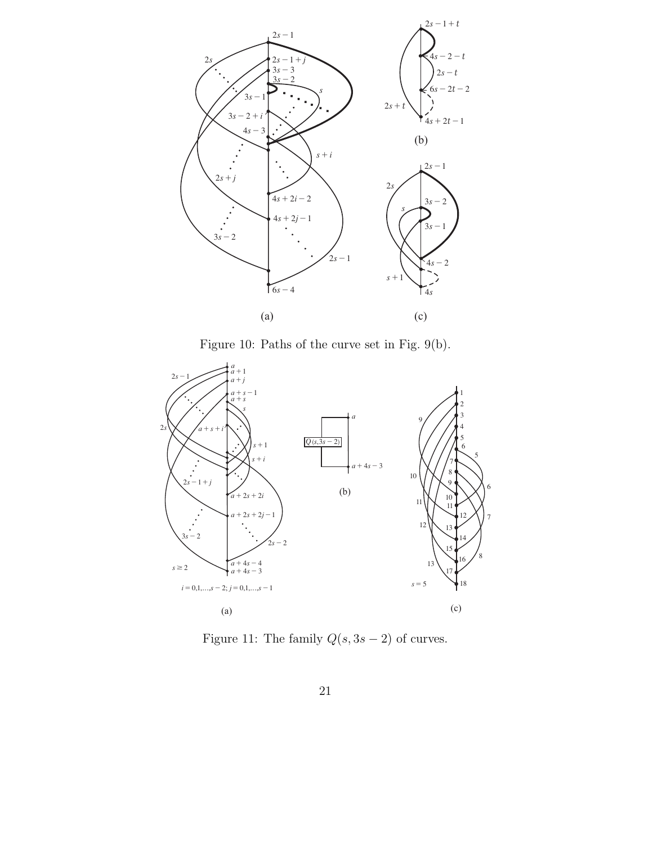

Figure 10: Paths of the curve set in Fig. 9(b).



Figure 11: The family  $Q(s, 3s - 2)$  of curves.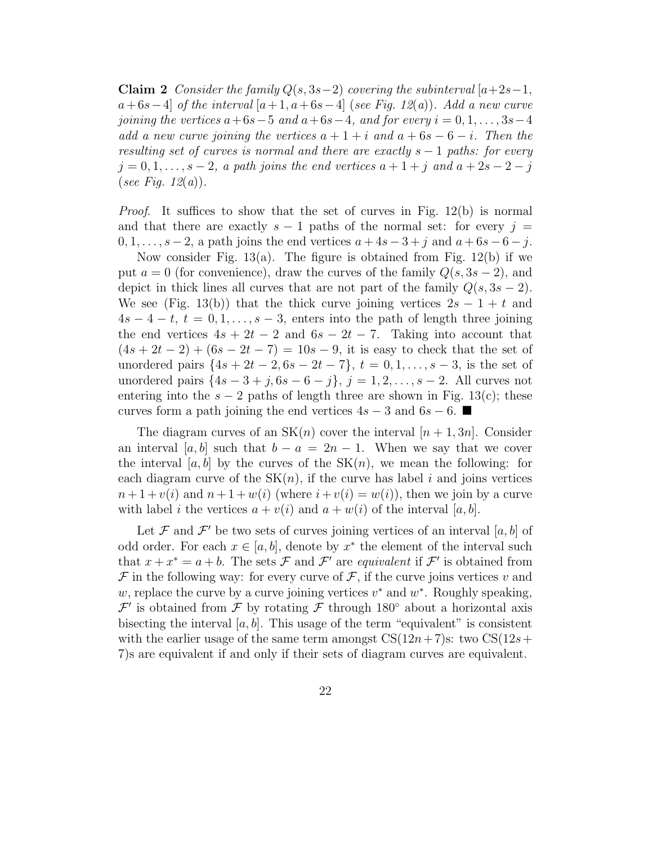Claim 2 Consider the family  $Q(s, 3s-2)$  covering the subinterval  $[a+2s-1,$  $a+6s-4$  of the interval  $[a+1, a+6s-4]$  (see Fig. 12(a)). Add a new curve joining the vertices  $a+6s-5$  and  $a+6s-4$ , and for every  $i = 0, 1, \ldots, 3s-4$ add a new curve joining the vertices  $a + 1 + i$  and  $a + 6s - 6 - i$ . Then the resulting set of curves is normal and there are exactly  $s - 1$  paths: for every  $j = 0, 1, \ldots, s - 2$ , a path joins the end vertices  $a + 1 + j$  and  $a + 2s - 2 - j$ (see Fig. 12(a)).

Proof. It suffices to show that the set of curves in Fig. 12(b) is normal and that there are exactly  $s - 1$  paths of the normal set: for every  $j =$  $0, 1, \ldots, s-2$ , a path joins the end vertices  $a + 4s - 3 + j$  and  $a + 6s - 6 - j$ .

Now consider Fig.  $13(a)$ . The figure is obtained from Fig.  $12(b)$  if we put  $a = 0$  (for convenience), draw the curves of the family  $Q(s, 3s - 2)$ , and depict in thick lines all curves that are not part of the family  $Q(s, 3s - 2)$ . We see (Fig. 13(b)) that the thick curve joining vertices  $2s - 1 + t$  and  $4s-4-t$ ,  $t=0,1,\ldots,s-3$ , enters into the path of length three joining the end vertices  $4s + 2t - 2$  and  $6s - 2t - 7$ . Taking into account that  $(4s + 2t - 2) + (6s - 2t - 7) = 10s - 9$ , it is easy to check that the set of unordered pairs  $\{4s + 2t - 2, 6s - 2t - 7\}, t = 0, 1, \ldots, s - 3$ , is the set of unordered pairs  $\{4s - 3 + j, 6s - 6 - j\}, j = 1, 2, ..., s - 2$ . All curves not entering into the  $s - 2$  paths of length three are shown in Fig. 13(c); these curves form a path joining the end vertices  $4s - 3$  and  $6s - 6$ .

The diagram curves of an  $SK(n)$  cover the interval  $[n+1,3n]$ . Consider an interval [a, b] such that  $b - a = 2n - 1$ . When we say that we cover the interval [a, b] by the curves of the  $SK(n)$ , we mean the following: for each diagram curve of the  $SK(n)$ , if the curve has label i and joins vertices  $n+1 +v(i)$  and  $n+1+w(i)$  (where  $i+v(i) = w(i)$ ), then we join by a curve with label i the vertices  $a + v(i)$  and  $a + w(i)$  of the interval [a, b].

Let F and  $\mathcal{F}'$  be two sets of curves joining vertices of an interval [a, b] of odd order. For each  $x \in [a, b]$ , denote by  $x^*$  the element of the interval such that  $x + x^* = a + b$ . The sets  $\mathcal F$  and  $\mathcal F'$  are equivalent if  $\mathcal F'$  is obtained from  $\mathcal F$  in the following way: for every curve of  $\mathcal F$ , if the curve joins vertices v and w, replace the curve by a curve joining vertices  $v^*$  and  $w^*$ . Roughly speaking,  $\mathcal{F}'$  is obtained from  $\mathcal F$  by rotating  $\mathcal F$  through 180° about a horizontal axis bisecting the interval  $[a, b]$ . This usage of the term "equivalent" is consistent with the earlier usage of the same term amongst  $CS(12n+7)$ s: two  $CS(12s+$ 7)s are equivalent if and only if their sets of diagram curves are equivalent.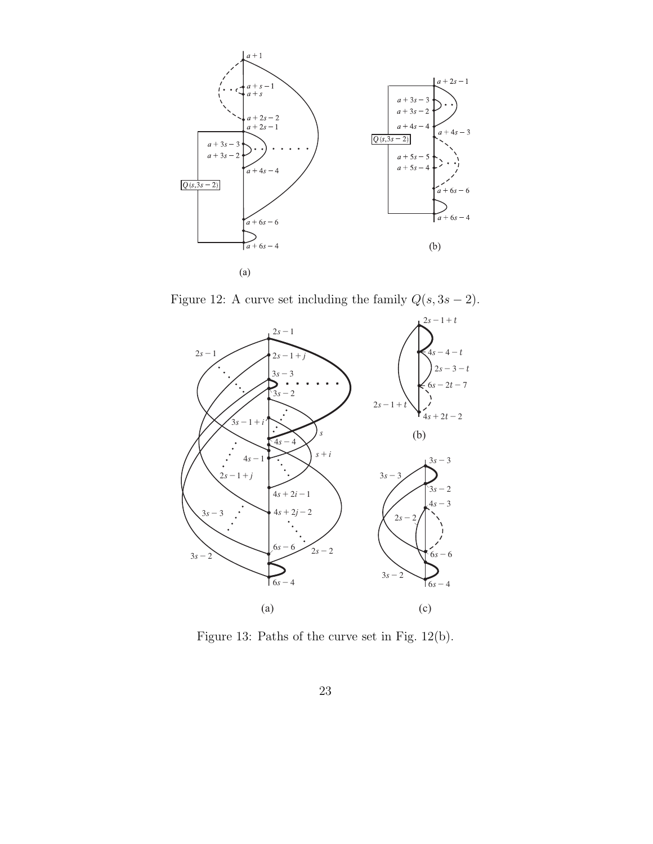

Figure 12: A curve set including the family  $Q(s, 3s - 2)$ .



Figure 13: Paths of the curve set in Fig. 12(b).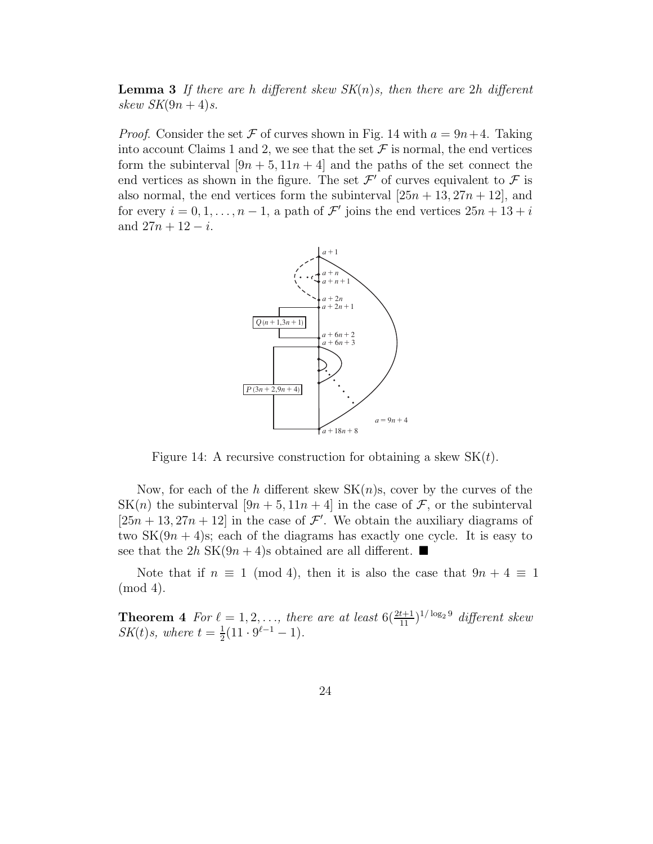**Lemma 3** If there are h different skew  $SK(n)s$ , then there are 2h different skew  $SK(9n + 4)s$ .

*Proof.* Consider the set F of curves shown in Fig. 14 with  $a = 9n+4$ . Taking into account Claims 1 and 2, we see that the set  $\mathcal F$  is normal, the end vertices form the subinterval  $[9n + 5, 11n + 4]$  and the paths of the set connect the end vertices as shown in the figure. The set  $\mathcal{F}'$  of curves equivalent to  $\mathcal{F}$  is also normal, the end vertices form the subinterval  $[25n + 13, 27n + 12]$ , and for every  $i = 0, 1, \ldots, n - 1$ , a path of  $\mathcal{F}'$  joins the end vertices  $25n + 13 + i$ and  $27n + 12 - i$ .



Figure 14: A recursive construction for obtaining a skew  $SK(t)$ .

Now, for each of the h different skew  $SK(n)s$ , cover by the curves of the SK(n) the subinterval  $[9n + 5, 11n + 4]$  in the case of  $\mathcal{F}$ , or the subinterval  $[25n + 13, 27n + 12]$  in the case of  $\mathcal{F}'$ . We obtain the auxiliary diagrams of two  $SK(9n + 4)$ s; each of the diagrams has exactly one cycle. It is easy to see that the  $2h$  SK $(9n + 4)$ s obtained are all different.

Note that if  $n \equiv 1 \pmod{4}$ , then it is also the case that  $9n + 4 \equiv 1$ (mod 4).

**Theorem 4** For  $\ell = 1, 2, \ldots$ , there are at least  $6(\frac{2t+1}{11})^{1/\log_2 9}$  different skew  $SK(t)s$ , where  $t=\frac{1}{2}$  $\frac{1}{2}(11 \cdot 9^{\ell-1} - 1).$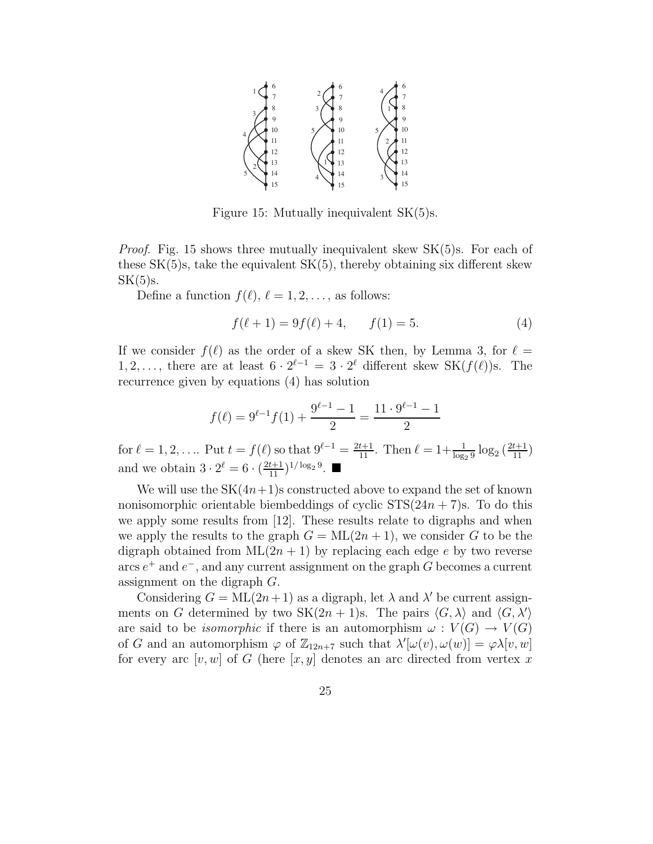

Figure 15: Mutually inequivalent SK(5)s.

*Proof.* Fig. 15 shows three mutually inequivalent skew  $SK(5)s$ . For each of these  $SK(5)$ s, take the equivalent  $SK(5)$ , thereby obtaining six different skew  $SK(5)s$ .

Define a function  $f(\ell), \ell = 1, 2, \ldots$ , as follows:

$$
f(\ell + 1) = 9f(\ell) + 4, \qquad f(1) = 5.
$$
 (4)

If we consider  $f(\ell)$  as the order of a skew SK then, by Lemma 3, for  $\ell =$ 1, 2, ..., there are at least  $6 \cdot 2^{\ell-1} = 3 \cdot 2^{\ell}$  different skew SK $(f(\ell))$ s. The recurrence given by equations (4) has solution

$$
f(\ell) = 9^{\ell-1} f(1) + \frac{9^{\ell-1} - 1}{2} = \frac{11 \cdot 9^{\ell-1} - 1}{2}
$$

for  $\ell = 1, 2, \ldots$  Put  $t = f(\ell)$  so that  $9^{\ell-1} = \frac{2t+1}{11}$ . Then  $\ell = 1 + \frac{1}{\log_2 9} \log_2 \left( \frac{2t+1}{11} \right)$ and we obtain  $3 \cdot 2^{\ell} = 6 \cdot \left(\frac{2t+1}{11}\right)^{1/\log_2 9}$ .

We will use the  $SK(4n+1)$ s constructed above to expand the set of known nonisomorphic orientable biembeddings of cyclic  $STS(24n + 7)s$ . To do this we apply some results from [12]. These results relate to digraphs and when we apply the results to the graph  $G = ML(2n + 1)$ , we consider G to be the digraph obtained from  $ML(2n + 1)$  by replacing each edge e by two reverse arcs  $e^+$  and  $e^-$ , and any current assignment on the graph G becomes a current assignment on the digraph G.

Considering  $G = ML(2n+1)$  as a digraph, let  $\lambda$  and  $\lambda'$  be current assignments on G determined by two SK $(2n + 1)$ s. The pairs  $\langle G, \lambda \rangle$  and  $\langle G, \lambda' \rangle$ are said to be *isomorphic* if there is an automorphism  $\omega: V(G) \to V(G)$ of G and an automorphism  $\varphi$  of  $\mathbb{Z}_{12n+7}$  such that  $\lambda'[\omega(v), \omega(w)] = \varphi \lambda[v, w]$ for every arc  $[v, w]$  of G (here  $[x, y]$  denotes an arc directed from vertex x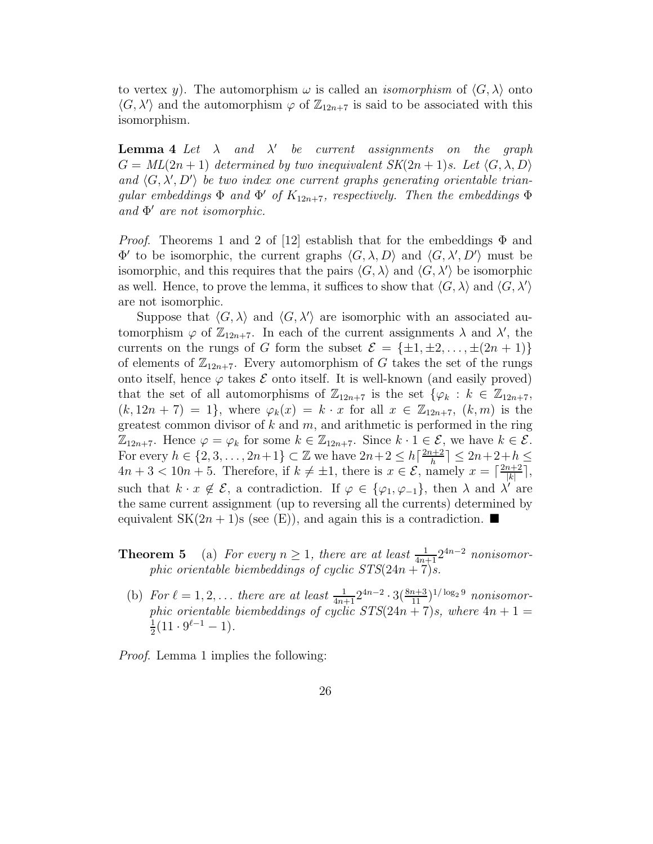to vertex y). The automorphism  $\omega$  is called an *isomorphism* of  $\langle G, \lambda \rangle$  onto  $\langle G, \lambda' \rangle$  and the automorphism  $\varphi$  of  $\mathbb{Z}_{12n+7}$  is said to be associated with this isomorphism.

**Lemma 4** Let  $\lambda$  and  $\lambda'$  be current assignments on the graph  $G = ML(2n + 1)$  determined by two inequivalent  $SK(2n + 1)s$ . Let  $\langle G, \lambda, D \rangle$ and  $\langle G, \lambda', D' \rangle$  be two index one current graphs generating orientable triangular embeddings  $\Phi$  and  $\Phi'$  of  $K_{12n+7}$ , respectively. Then the embeddings  $\Phi$ and Φ ′ are not isomorphic.

*Proof.* Theorems 1 and 2 of [12] establish that for the embeddings  $\Phi$  and  $\Phi'$  to be isomorphic, the current graphs  $\langle G, \lambda, D \rangle$  and  $\langle G, \lambda', D' \rangle$  must be isomorphic, and this requires that the pairs  $\langle G, \lambda \rangle$  and  $\langle G, \lambda' \rangle$  be isomorphic as well. Hence, to prove the lemma, it suffices to show that  $\langle G, \lambda \rangle$  and  $\langle G, \lambda' \rangle$ are not isomorphic.

Suppose that  $\langle G, \lambda \rangle$  and  $\langle G, \lambda' \rangle$  are isomorphic with an associated automorphism  $\varphi$  of  $\mathbb{Z}_{12n+7}$ . In each of the current assignments  $\lambda$  and  $\lambda'$ , the currents on the rungs of G form the subset  $\mathcal{E} = {\pm 1, \pm 2, ..., \pm (2n + 1)}$ of elements of  $\mathbb{Z}_{12n+7}$ . Every automorphism of G takes the set of the rungs onto itself, hence  $\varphi$  takes  $\mathcal E$  onto itself. It is well-known (and easily proved) that the set of all automorphisms of  $\mathbb{Z}_{12n+7}$  is the set  $\{\varphi_k : k \in \mathbb{Z}_{12n+7},\}$  $(k, 12n + 7) = 1$ , where  $\varphi_k(x) = k \cdot x$  for all  $x \in \mathbb{Z}_{12n+7}$ ,  $(k, m)$  is the greatest common divisor of k and  $m$ , and arithmetic is performed in the ring  $\mathbb{Z}_{12n+7}$ . Hence  $\varphi = \varphi_k$  for some  $k \in \mathbb{Z}_{12n+7}$ . Since  $k \cdot 1 \in \mathcal{E}$ , we have  $k \in \mathcal{E}$ . For every  $h \in \{2, 3, \ldots, 2n+1\} \subset \mathbb{Z}$  we have  $2n+2 \leq h \left[\frac{2n+2}{h}\right]$  $\frac{n+2}{h}$   $\leq 2n+2+h \leq$  $4n+3 < 10n+5$ . Therefore, if  $k \neq \pm 1$ , there is  $x \in \mathcal{E}$ , namely  $x = \lceil \frac{2n+2}{|k|} \rceil$  $\frac{n+2}{|k|}\rceil,$ such that  $k \cdot x \notin \mathcal{E}$ , a contradiction. If  $\varphi \in {\varphi_1, \varphi_1}$ , then  $\lambda$  and  $\lambda'$  are the same current assignment (up to reversing all the currents) determined by equivalent SK $(2n+1)$ s (see (E)), and again this is a contradiction.

- **Theorem 5** (a) For every  $n \geq 1$ , there are at least  $\frac{1}{4n+1} 2^{4n-2}$  nonisomorphic orientable biembeddings of cyclic  $STS(24n + 7)s$ .
- (b) For  $\ell = 1, 2, ...$  there are at least  $\frac{1}{4n+1} 2^{4n-2} \cdot 3 \left( \frac{8n+3}{11} \right)^{1/\log_2 9}$  nonisomorphic orientable biembeddings of cyclic  $STS(24n + 7)s$ , where  $4n + 1 =$ 1  $\frac{1}{2}(11 \cdot 9^{\ell-1} - 1).$

Proof. Lemma 1 implies the following: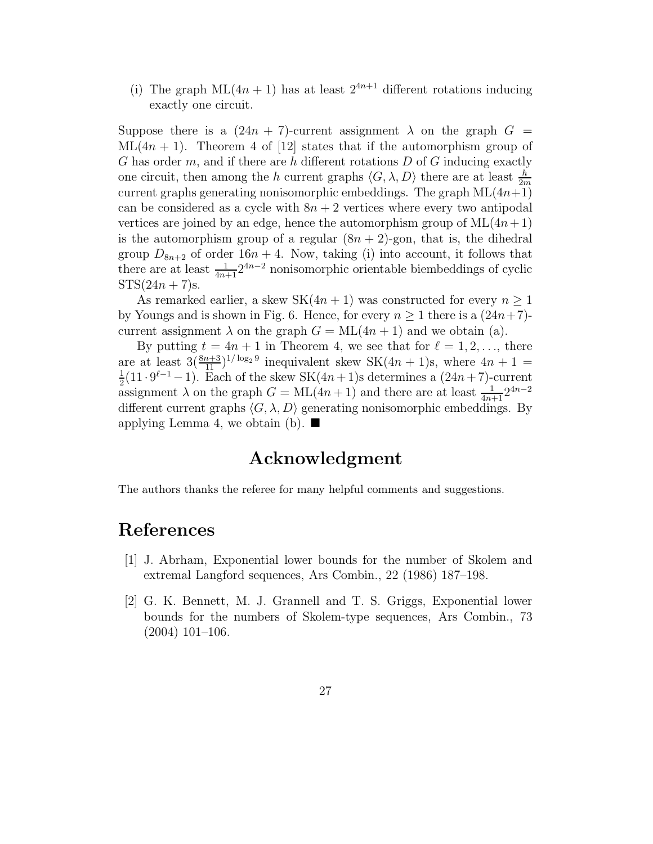(i) The graph  $ML(4n + 1)$  has at least  $2^{4n+1}$  different rotations inducing exactly one circuit.

Suppose there is a  $(24n + 7)$ -current assignment  $\lambda$  on the graph  $G =$  $ML(4n + 1)$ . Theorem 4 of [12] states that if the automorphism group of G has order m, and if there are h different rotations  $D$  of G inducing exactly one circuit, then among the h current graphs  $\langle G, \lambda, D \rangle$  there are at least  $\frac{h}{2m}$ current graphs generating nonisomorphic embeddings. The graph  $ML(4n+1)$ can be considered as a cycle with  $8n + 2$  vertices where every two antipodal vertices are joined by an edge, hence the automorphism group of  $ML(4n+1)$ is the automorphism group of a regular  $(8n + 2)$ -gon, that is, the dihedral group  $D_{8n+2}$  of order 16n + 4. Now, taking (i) into account, it follows that there are at least  $\frac{1}{4n+1}2^{4n-2}$  nonisomorphic orientable biembeddings of cyclic  $STS(24n + 7)s$ .

As remarked earlier, a skew SK $(4n + 1)$  was constructed for every  $n \geq 1$ by Youngs and is shown in Fig. 6. Hence, for every  $n \geq 1$  there is a  $(24n+7)$ current assignment  $\lambda$  on the graph  $G = ML(4n + 1)$  and we obtain (a).

By putting  $t = 4n + 1$  in Theorem 4, we see that for  $\ell = 1, 2, \ldots$ , there are at least  $3(\frac{8n+3}{11})^{1/\log_2 9}$  inequivalent skew SK $(4n + 1)$ s, where  $4n + 1 =$ 1  $\frac{1}{2}(11 \cdot 9^{\ell-1} - 1)$ . Each of the skew SK $(4n+1)$ s determines a  $(24n+7)$ -current assignment  $\lambda$  on the graph  $G = \text{ML}(4n + 1)$  and there are at least  $\frac{1}{4n+1}2^{4n-2}$ different current graphs  $\langle G, \lambda, D \rangle$  generating nonisomorphic embeddings. By applying Lemma 4, we obtain (b).  $\blacksquare$ 

### Acknowledgment

The authors thanks the referee for many helpful comments and suggestions.

### References

- [1] J. Abrham, Exponential lower bounds for the number of Skolem and extremal Langford sequences, Ars Combin., 22 (1986) 187–198.
- [2] G. K. Bennett, M. J. Grannell and T. S. Griggs, Exponential lower bounds for the numbers of Skolem-type sequences, Ars Combin., 73 (2004) 101–106.